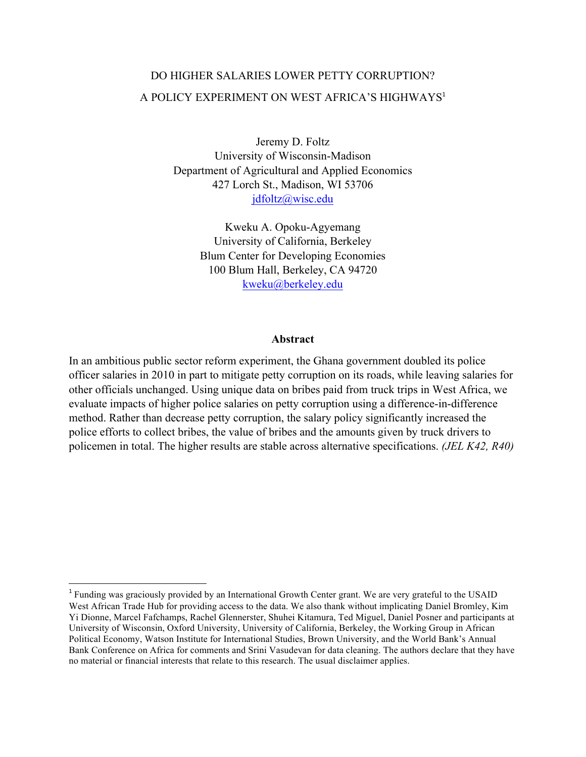# DO HIGHER SALARIES LOWER PETTY CORRUPTION? A POLICY EXPERIMENT ON WEST AFRICA'S HIGHWAYS<sup>1</sup>

Jeremy D. Foltz University of Wisconsin-Madison Department of Agricultural and Applied Economics 427 Lorch St., Madison, WI 53706 jdfoltz@wisc.edu

> Kweku A. Opoku-Agyemang University of California, Berkeley Blum Center for Developing Economies 100 Blum Hall, Berkeley, CA 94720 kweku@berkeley.edu

#### **Abstract**

In an ambitious public sector reform experiment, the Ghana government doubled its police officer salaries in 2010 in part to mitigate petty corruption on its roads, while leaving salaries for other officials unchanged. Using unique data on bribes paid from truck trips in West Africa, we evaluate impacts of higher police salaries on petty corruption using a difference-in-difference method. Rather than decrease petty corruption, the salary policy significantly increased the police efforts to collect bribes, the value of bribes and the amounts given by truck drivers to policemen in total. The higher results are stable across alternative specifications. *(JEL K42, R40)*

<sup>&</sup>lt;sup>1</sup> Funding was graciously provided by an International Growth Center grant. We are very grateful to the USAID West African Trade Hub for providing access to the data. We also thank without implicating Daniel Bromley, Kim Yi Dionne, Marcel Fafchamps, Rachel Glennerster, Shuhei Kitamura, Ted Miguel, Daniel Posner and participants at University of Wisconsin, Oxford University, University of California, Berkeley, the Working Group in African Political Economy, Watson Institute for International Studies, Brown University, and the World Bank's Annual Bank Conference on Africa for comments and Srini Vasudevan for data cleaning. The authors declare that they have no material or financial interests that relate to this research. The usual disclaimer applies.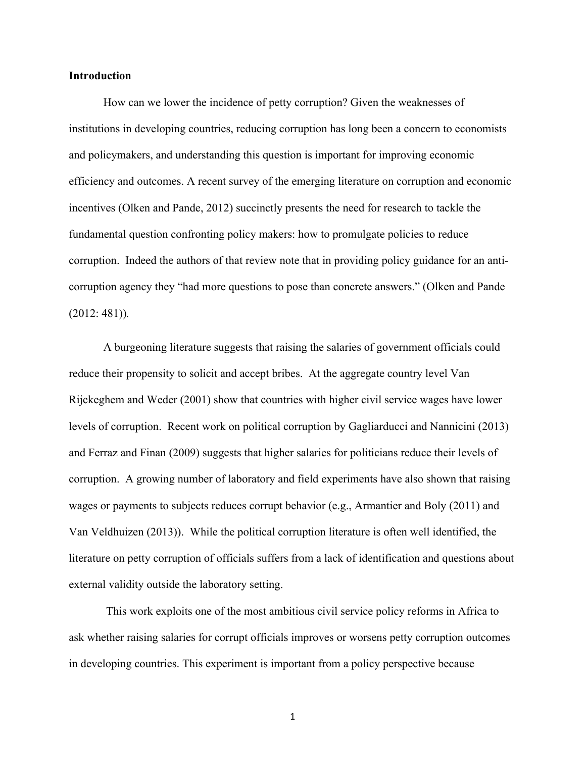#### **Introduction**

How can we lower the incidence of petty corruption? Given the weaknesses of institutions in developing countries, reducing corruption has long been a concern to economists and policymakers, and understanding this question is important for improving economic efficiency and outcomes. A recent survey of the emerging literature on corruption and economic incentives (Olken and Pande, 2012) succinctly presents the need for research to tackle the fundamental question confronting policy makers: how to promulgate policies to reduce corruption. Indeed the authors of that review note that in providing policy guidance for an anticorruption agency they "had more questions to pose than concrete answers." (Olken and Pande (2012: 481))*.*

A burgeoning literature suggests that raising the salaries of government officials could reduce their propensity to solicit and accept bribes. At the aggregate country level Van Rijckeghem and Weder (2001) show that countries with higher civil service wages have lower levels of corruption. Recent work on political corruption by Gagliarducci and Nannicini (2013) and Ferraz and Finan (2009) suggests that higher salaries for politicians reduce their levels of corruption. A growing number of laboratory and field experiments have also shown that raising wages or payments to subjects reduces corrupt behavior (e.g., Armantier and Boly (2011) and Van Veldhuizen (2013)). While the political corruption literature is often well identified, the literature on petty corruption of officials suffers from a lack of identification and questions about external validity outside the laboratory setting.

This work exploits one of the most ambitious civil service policy reforms in Africa to ask whether raising salaries for corrupt officials improves or worsens petty corruption outcomes in developing countries. This experiment is important from a policy perspective because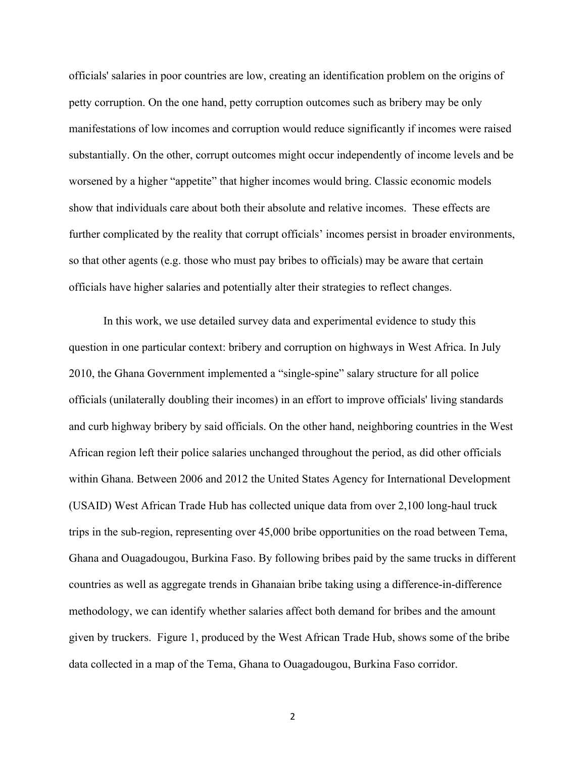officials' salaries in poor countries are low, creating an identification problem on the origins of petty corruption. On the one hand, petty corruption outcomes such as bribery may be only manifestations of low incomes and corruption would reduce significantly if incomes were raised substantially. On the other, corrupt outcomes might occur independently of income levels and be worsened by a higher "appetite" that higher incomes would bring. Classic economic models show that individuals care about both their absolute and relative incomes. These effects are further complicated by the reality that corrupt officials' incomes persist in broader environments, so that other agents (e.g. those who must pay bribes to officials) may be aware that certain officials have higher salaries and potentially alter their strategies to reflect changes.

In this work, we use detailed survey data and experimental evidence to study this question in one particular context: bribery and corruption on highways in West Africa. In July 2010, the Ghana Government implemented a "single-spine" salary structure for all police officials (unilaterally doubling their incomes) in an effort to improve officials' living standards and curb highway bribery by said officials. On the other hand, neighboring countries in the West African region left their police salaries unchanged throughout the period, as did other officials within Ghana. Between 2006 and 2012 the United States Agency for International Development (USAID) West African Trade Hub has collected unique data from over 2,100 long-haul truck trips in the sub-region, representing over 45,000 bribe opportunities on the road between Tema, Ghana and Ouagadougou, Burkina Faso. By following bribes paid by the same trucks in different countries as well as aggregate trends in Ghanaian bribe taking using a difference-in-difference methodology, we can identify whether salaries affect both demand for bribes and the amount given by truckers. Figure 1, produced by the West African Trade Hub, shows some of the bribe data collected in a map of the Tema, Ghana to Ouagadougou, Burkina Faso corridor.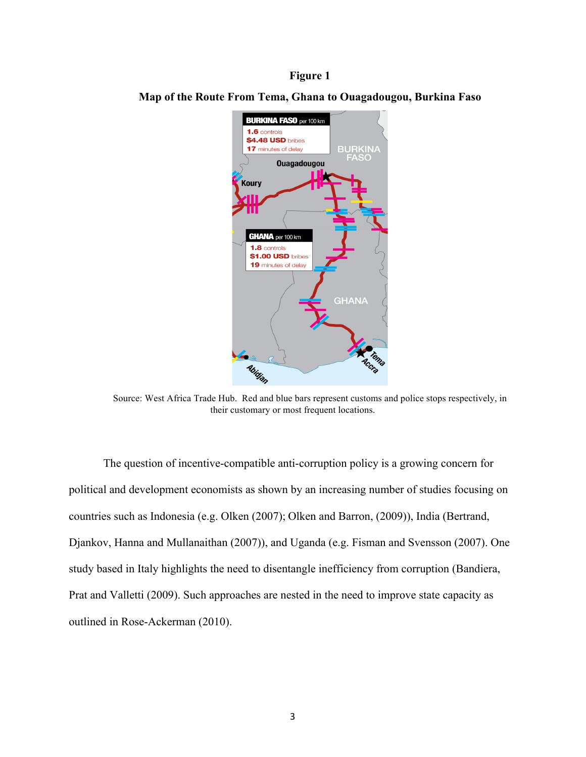#### **Figure 1**



**Map of the Route From Tema, Ghana to Ouagadougou, Burkina Faso** 

Source: West Africa Trade Hub. Red and blue bars represent customs and police stops respectively, in their customary or most frequent locations.

The question of incentive-compatible anti-corruption policy is a growing concern for political and development economists as shown by an increasing number of studies focusing on countries such as Indonesia (e.g. Olken (2007); Olken and Barron, (2009)), India (Bertrand, Djankov, Hanna and Mullanaithan (2007)), and Uganda (e.g. Fisman and Svensson (2007). One study based in Italy highlights the need to disentangle inefficiency from corruption (Bandiera, Prat and Valletti (2009). Such approaches are nested in the need to improve state capacity as outlined in Rose-Ackerman (2010).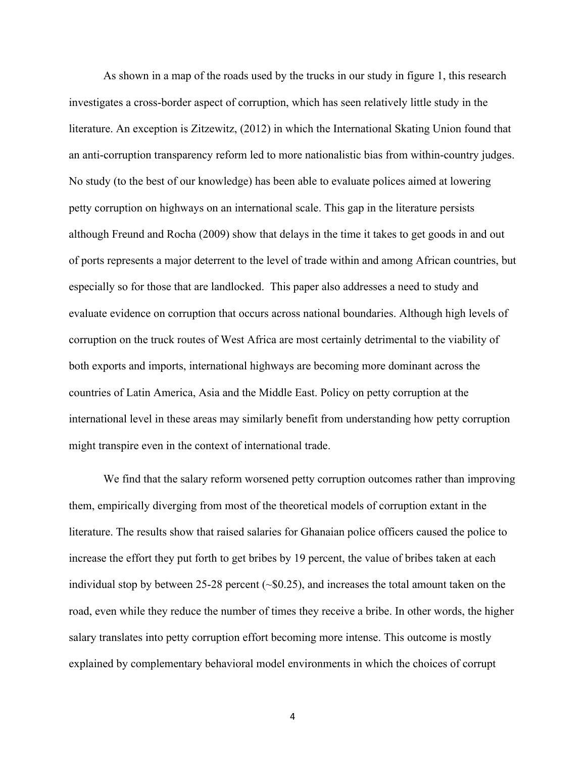As shown in a map of the roads used by the trucks in our study in figure 1, this research investigates a cross-border aspect of corruption, which has seen relatively little study in the literature. An exception is Zitzewitz, (2012) in which the International Skating Union found that an anti-corruption transparency reform led to more nationalistic bias from within-country judges. No study (to the best of our knowledge) has been able to evaluate polices aimed at lowering petty corruption on highways on an international scale. This gap in the literature persists although Freund and Rocha (2009) show that delays in the time it takes to get goods in and out of ports represents a major deterrent to the level of trade within and among African countries, but especially so for those that are landlocked. This paper also addresses a need to study and evaluate evidence on corruption that occurs across national boundaries. Although high levels of corruption on the truck routes of West Africa are most certainly detrimental to the viability of both exports and imports, international highways are becoming more dominant across the countries of Latin America, Asia and the Middle East. Policy on petty corruption at the international level in these areas may similarly benefit from understanding how petty corruption might transpire even in the context of international trade.

We find that the salary reform worsened petty corruption outcomes rather than improving them, empirically diverging from most of the theoretical models of corruption extant in the literature. The results show that raised salaries for Ghanaian police officers caused the police to increase the effort they put forth to get bribes by 19 percent, the value of bribes taken at each individual stop by between 25-28 percent  $(\sim 0.25)$ , and increases the total amount taken on the road, even while they reduce the number of times they receive a bribe. In other words, the higher salary translates into petty corruption effort becoming more intense. This outcome is mostly explained by complementary behavioral model environments in which the choices of corrupt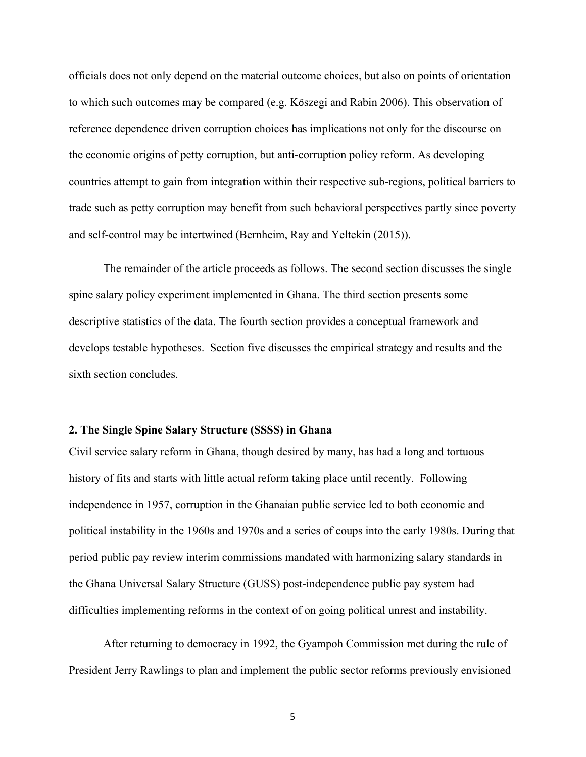officials does not only depend on the material outcome choices, but also on points of orientation to which such outcomes may be compared (e.g. Kőszegi and Rabin 2006). This observation of reference dependence driven corruption choices has implications not only for the discourse on the economic origins of petty corruption, but anti-corruption policy reform. As developing countries attempt to gain from integration within their respective sub-regions, political barriers to trade such as petty corruption may benefit from such behavioral perspectives partly since poverty and self-control may be intertwined (Bernheim, Ray and Yeltekin (2015)).

The remainder of the article proceeds as follows. The second section discusses the single spine salary policy experiment implemented in Ghana. The third section presents some descriptive statistics of the data. The fourth section provides a conceptual framework and develops testable hypotheses. Section five discusses the empirical strategy and results and the sixth section concludes.

#### **2. The Single Spine Salary Structure (SSSS) in Ghana**

Civil service salary reform in Ghana, though desired by many, has had a long and tortuous history of fits and starts with little actual reform taking place until recently. Following independence in 1957, corruption in the Ghanaian public service led to both economic and political instability in the 1960s and 1970s and a series of coups into the early 1980s. During that period public pay review interim commissions mandated with harmonizing salary standards in the Ghana Universal Salary Structure (GUSS) post-independence public pay system had difficulties implementing reforms in the context of on going political unrest and instability.

After returning to democracy in 1992, the Gyampoh Commission met during the rule of President Jerry Rawlings to plan and implement the public sector reforms previously envisioned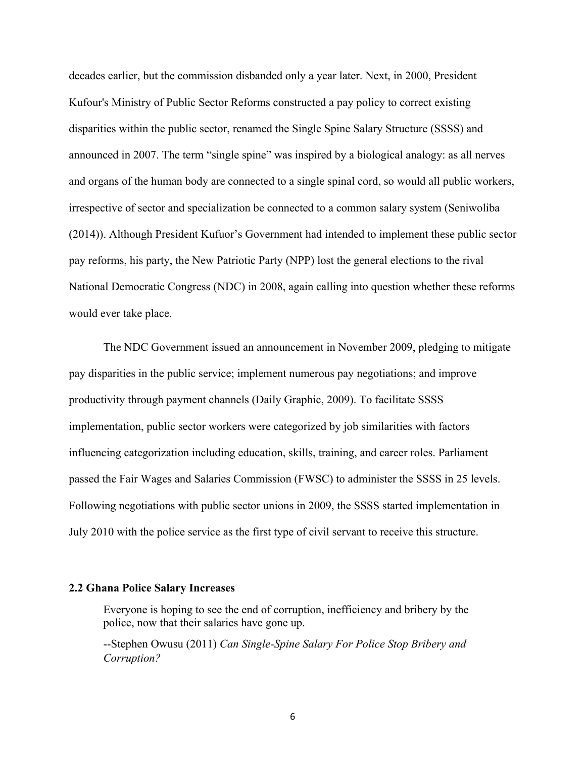decades earlier, but the commission disbanded only a year later. Next, in 2000, President Kufour's Ministry of Public Sector Reforms constructed a pay policy to correct existing disparities within the public sector, renamed the Single Spine Salary Structure (SSSS) and announced in 2007. The term "single spine" was inspired by a biological analogy: as all nerves and organs of the human body are connected to a single spinal cord, so would all public workers, irrespective of sector and specialization be connected to a common salary system (Seniwoliba (2014)). Although President Kufuor's Government had intended to implement these public sector pay reforms, his party, the New Patriotic Party (NPP) lost the general elections to the rival National Democratic Congress (NDC) in 2008, again calling into question whether these reforms would ever take place.

The NDC Government issued an announcement in November 2009, pledging to mitigate pay disparities in the public service; implement numerous pay negotiations; and improve productivity through payment channels (Daily Graphic, 2009). To facilitate SSSS implementation, public sector workers were categorized by job similarities with factors influencing categorization including education, skills, training, and career roles. Parliament passed the Fair Wages and Salaries Commission (FWSC) to administer the SSSS in 25 levels. Following negotiations with public sector unions in 2009, the SSSS started implementation in July 2010 with the police service as the first type of civil servant to receive this structure.

#### **2.2 Ghana Police Salary Increases**

Everyone is hoping to see the end of corruption, inefficiency and bribery by the police, now that their salaries have gone up.

--Stephen Owusu (2011) *Can Single-Spine Salary For Police Stop Bribery and Corruption?*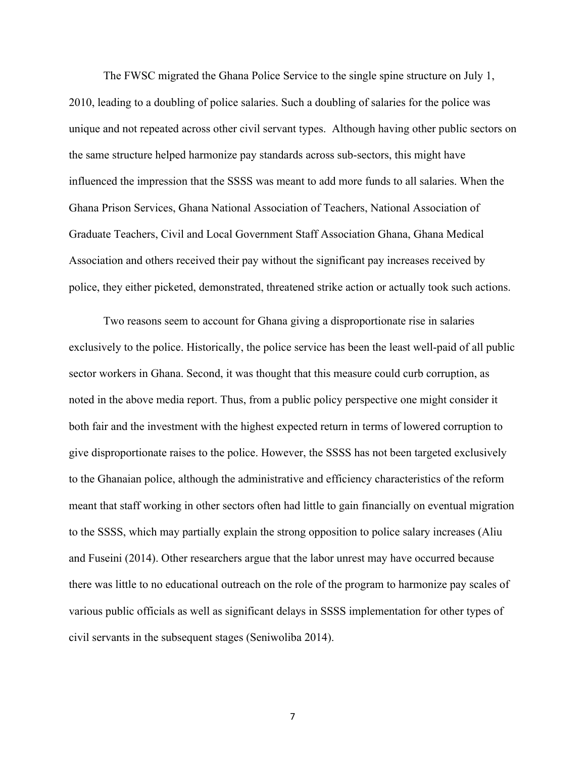The FWSC migrated the Ghana Police Service to the single spine structure on July 1, 2010, leading to a doubling of police salaries. Such a doubling of salaries for the police was unique and not repeated across other civil servant types. Although having other public sectors on the same structure helped harmonize pay standards across sub-sectors, this might have influenced the impression that the SSSS was meant to add more funds to all salaries. When the Ghana Prison Services, Ghana National Association of Teachers, National Association of Graduate Teachers, Civil and Local Government Staff Association Ghana, Ghana Medical Association and others received their pay without the significant pay increases received by police, they either picketed, demonstrated, threatened strike action or actually took such actions.

Two reasons seem to account for Ghana giving a disproportionate rise in salaries exclusively to the police. Historically, the police service has been the least well-paid of all public sector workers in Ghana. Second, it was thought that this measure could curb corruption, as noted in the above media report. Thus, from a public policy perspective one might consider it both fair and the investment with the highest expected return in terms of lowered corruption to give disproportionate raises to the police. However, the SSSS has not been targeted exclusively to the Ghanaian police, although the administrative and efficiency characteristics of the reform meant that staff working in other sectors often had little to gain financially on eventual migration to the SSSS, which may partially explain the strong opposition to police salary increases (Aliu and Fuseini (2014). Other researchers argue that the labor unrest may have occurred because there was little to no educational outreach on the role of the program to harmonize pay scales of various public officials as well as significant delays in SSSS implementation for other types of civil servants in the subsequent stages (Seniwoliba 2014).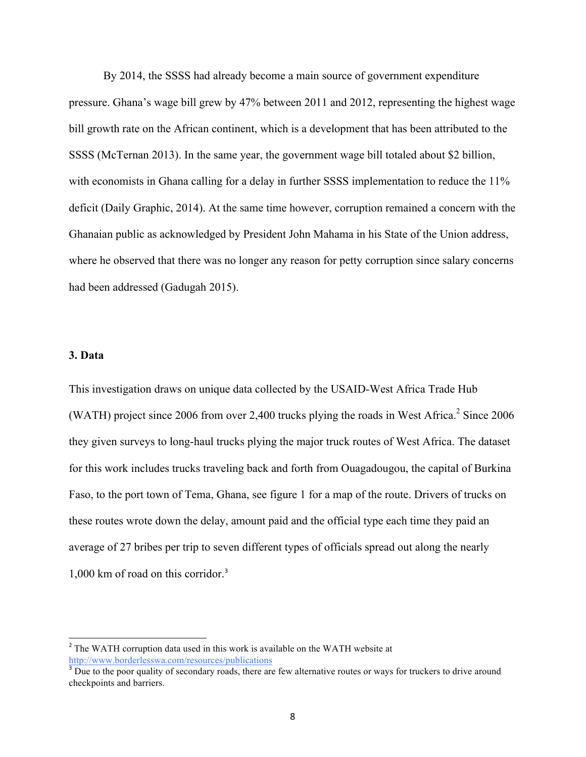By 2014, the SSSS had already become a main source of government expenditure pressure. Ghana's wage bill grew by 47% between 2011 and 2012, representing the highest wage bill growth rate on the African continent, which is a development that has been attributed to the SSSS (McTernan 2013). In the same year, the government wage bill totaled about \$2 billion, with economists in Ghana calling for a delay in further SSSS implementation to reduce the 11% deficit (Daily Graphic, 2014). At the same time however, corruption remained a concern with the Ghanaian public as acknowledged by President John Mahama in his State of the Union address, where he observed that there was no longer any reason for petty corruption since salary concerns had been addressed (Gadugah 2015).

#### **3. Data**

This investigation draws on unique data collected by the USAID-West Africa Trade Hub (WATH) project since 2006 from over 2,400 trucks plying the roads in West Africa.<sup>2</sup> Since 2006 they given surveys to long-haul trucks plying the major truck routes of West Africa. The dataset for this work includes trucks traveling back and forth from Ouagadougou, the capital of Burkina Faso, to the port town of Tema, Ghana, see figure 1 for a map of the route. Drivers of trucks on these routes wrote down the delay, amount paid and the official type each time they paid an average of 27 bribes per trip to seven different types of officials spread out along the nearly 1,000 km of road on this corridor.<sup>3</sup>

 $2$  The WATH corruption data used in this work is available on the WATH website at http://www.borderlesswa.com/resources/publications

 $3$  Due to the poor quality of secondary roads, there are few alternative routes or ways for truckers to drive around checkpoints and barriers.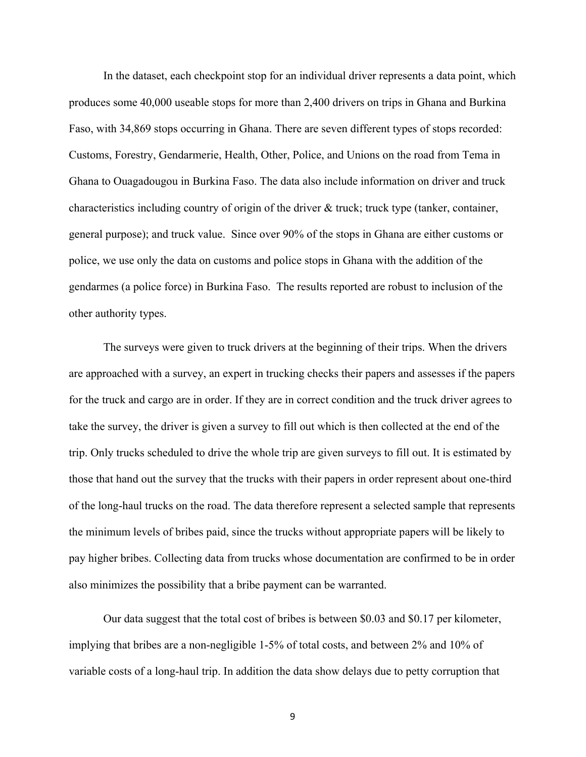In the dataset, each checkpoint stop for an individual driver represents a data point, which produces some 40,000 useable stops for more than 2,400 drivers on trips in Ghana and Burkina Faso, with 34,869 stops occurring in Ghana. There are seven different types of stops recorded: Customs, Forestry, Gendarmerie, Health, Other, Police, and Unions on the road from Tema in Ghana to Ouagadougou in Burkina Faso. The data also include information on driver and truck characteristics including country of origin of the driver & truck; truck type (tanker, container, general purpose); and truck value. Since over 90% of the stops in Ghana are either customs or police, we use only the data on customs and police stops in Ghana with the addition of the gendarmes (a police force) in Burkina Faso. The results reported are robust to inclusion of the other authority types.

The surveys were given to truck drivers at the beginning of their trips. When the drivers are approached with a survey, an expert in trucking checks their papers and assesses if the papers for the truck and cargo are in order. If they are in correct condition and the truck driver agrees to take the survey, the driver is given a survey to fill out which is then collected at the end of the trip. Only trucks scheduled to drive the whole trip are given surveys to fill out. It is estimated by those that hand out the survey that the trucks with their papers in order represent about one-third of the long-haul trucks on the road. The data therefore represent a selected sample that represents the minimum levels of bribes paid, since the trucks without appropriate papers will be likely to pay higher bribes. Collecting data from trucks whose documentation are confirmed to be in order also minimizes the possibility that a bribe payment can be warranted.

Our data suggest that the total cost of bribes is between \$0.03 and \$0.17 per kilometer, implying that bribes are a non-negligible 1-5% of total costs, and between 2% and 10% of variable costs of a long-haul trip. In addition the data show delays due to petty corruption that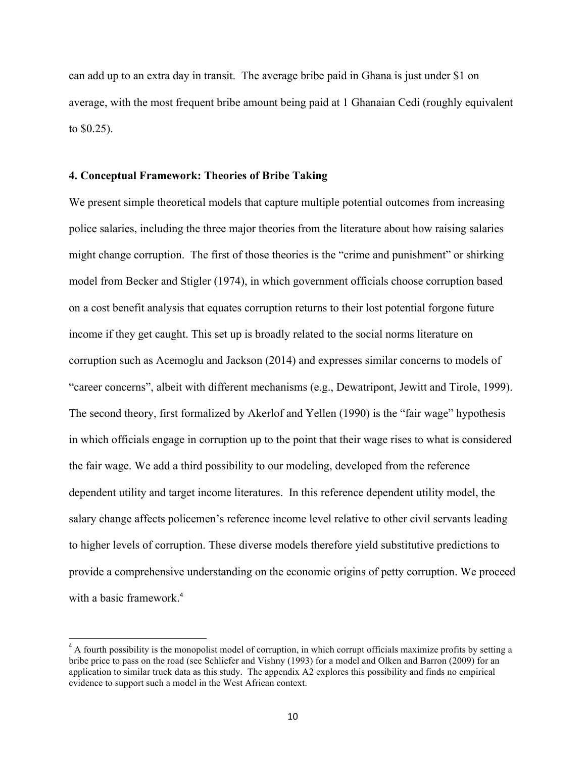can add up to an extra day in transit. The average bribe paid in Ghana is just under \$1 on average, with the most frequent bribe amount being paid at 1 Ghanaian Cedi (roughly equivalent to \$0.25).

#### **4. Conceptual Framework: Theories of Bribe Taking**

 

We present simple theoretical models that capture multiple potential outcomes from increasing police salaries, including the three major theories from the literature about how raising salaries might change corruption. The first of those theories is the "crime and punishment" or shirking model from Becker and Stigler (1974), in which government officials choose corruption based on a cost benefit analysis that equates corruption returns to their lost potential forgone future income if they get caught. This set up is broadly related to the social norms literature on corruption such as Acemoglu and Jackson (2014) and expresses similar concerns to models of "career concerns", albeit with different mechanisms (e.g., Dewatripont, Jewitt and Tirole, 1999). The second theory, first formalized by Akerlof and Yellen (1990) is the "fair wage" hypothesis in which officials engage in corruption up to the point that their wage rises to what is considered the fair wage. We add a third possibility to our modeling, developed from the reference dependent utility and target income literatures. In this reference dependent utility model, the salary change affects policemen's reference income level relative to other civil servants leading to higher levels of corruption. These diverse models therefore yield substitutive predictions to provide a comprehensive understanding on the economic origins of petty corruption. We proceed with a basic framework.<sup>4</sup>

 $<sup>4</sup>$  A fourth possibility is the monopolist model of corruption, in which corrupt officials maximize profits by setting a</sup> bribe price to pass on the road (see Schliefer and Vishny (1993) for a model and Olken and Barron (2009) for an application to similar truck data as this study. The appendix A2 explores this possibility and finds no empirical evidence to support such a model in the West African context.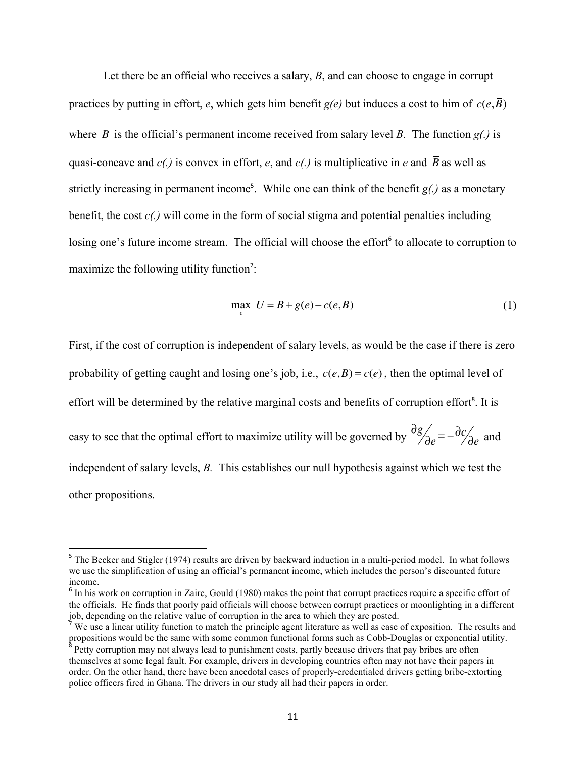Let there be an official who receives a salary, *B*, and can choose to engage in corrupt practices by putting in effort, *e*, which gets him benefit  $g(e)$  but induces a cost to him of  $c(e,\overline{B})$ where  $\overline{B}$  is the official's permanent income received from salary level *B*. The function *g(.)* is quasi-concave and  $c(.)$  is convex in effort, e, and  $c(.)$  is multiplicative in e and  $\overline{B}$  as well as strictly increasing in permanent income<sup>5</sup>. While one can think of the benefit  $g(.)$  as a monetary benefit, the cost *c(.)* will come in the form of social stigma and potential penalties including losing one's future income stream. The official will choose the effort<sup>6</sup> to allocate to corruption to maximize the following utility function<sup>7</sup>:

$$
\max_{e} \ U = B + g(e) - c(e, \overline{B}) \tag{1}
$$

First, if the cost of corruption is independent of salary levels, as would be the case if there is zero probability of getting caught and losing one's job, i.e.,  $c(e,\overline{B}) = c(e)$ , then the optimal level of effort will be determined by the relative marginal costs and benefits of corruption effort<sup>8</sup>. It is easy to see that the optimal effort to maximize utility will be governed by  $\frac{\partial g}{\partial e} = -\frac{\partial c}{\partial e}$  and independent of salary levels, *B.* This establishes our null hypothesis against which we test the other propositions.

<sup>&</sup>lt;sup>5</sup> The Becker and Stigler (1974) results are driven by backward induction in a multi-period model. In what follows we use the simplification of using an official's permanent income, which includes the person's discounted future income.

<sup>&</sup>lt;sup>6</sup> In his work on corruption in Zaire, Gould (1980) makes the point that corrupt practices require a specific effort of the officials. He finds that poorly paid officials will choose between corrupt practices or moonlighting in a different job, depending on the relative value of corruption in the area to which they are posted.

We use a linear utility function to match the principle agent literature as well as ease of exposition. The results and propositions would be the same with some common functional forms such as Cobb-Douglas or exponential utility. <sup>8</sup> Petty corruption may not always lead to punishment costs, partly because drivers that pay bribes are often themselves at some legal fault. For example, drivers in developing countries often may not have their papers in order. On the other hand, there have been anecdotal cases of properly-credentialed drivers getting bribe-extorting police officers fired in Ghana. The drivers in our study all had their papers in order.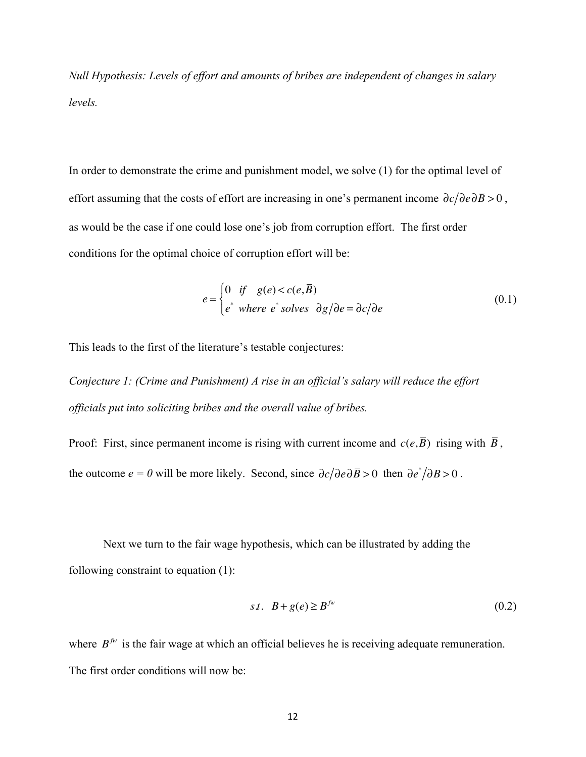*Null Hypothesis: Levels of effort and amounts of bribes are independent of changes in salary levels.*

In order to demonstrate the crime and punishment model, we solve (1) for the optimal level of effort assuming that the costs of effort are increasing in one's permanent income  $\partial c / \partial e \partial \overline{B} > 0$ , as would be the case if one could lose one's job from corruption effort. The first order conditions for the optimal choice of corruption effort will be:

$$
e = \begin{cases} 0 & \text{if } g(e) < c(e, \overline{B}) \\ e^* & \text{where } e^* & \text{solves } \partial g / \partial e = \partial c / \partial e \end{cases} \tag{0.1}
$$

This leads to the first of the literature's testable conjectures:

*Conjecture 1: (Crime and Punishment) A rise in an official's salary will reduce the effort officials put into soliciting bribes and the overall value of bribes.*

Proof: First, since permanent income is rising with current income and  $c(e,\overline{B})$  rising with  $\overline{B}$ , the outcome  $e = 0$  will be more likely. Second, since  $\partial c / \partial e \partial \overline{B} > 0$  then  $\partial e^* / \partial B > 0$ .

Next we turn to the fair wage hypothesis, which can be illustrated by adding the following constraint to equation (1):

$$
st. \quad B + g(e) \ge B^{fw} \tag{0.2}
$$

where  $B<sup>fw</sup>$  is the fair wage at which an official believes he is receiving adequate remuneration. The first order conditions will now be: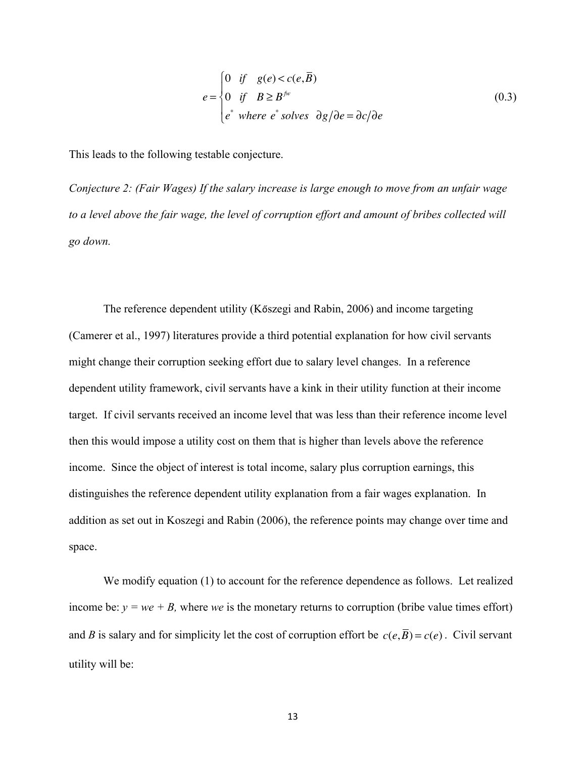$$
e = \begin{cases} 0 & \text{if } g(e) < c(e, \overline{B}) \\ 0 & \text{if } B \ge B^{fw} \\ e^* & \text{where } e^* & solves \end{cases} \quad (0.3)
$$

This leads to the following testable conjecture.

*Conjecture 2: (Fair Wages) If the salary increase is large enough to move from an unfair wage to a level above the fair wage, the level of corruption effort and amount of bribes collected will go down.*

The reference dependent utility (Kőszegi and Rabin, 2006) and income targeting (Camerer et al., 1997) literatures provide a third potential explanation for how civil servants might change their corruption seeking effort due to salary level changes. In a reference dependent utility framework, civil servants have a kink in their utility function at their income target. If civil servants received an income level that was less than their reference income level then this would impose a utility cost on them that is higher than levels above the reference income. Since the object of interest is total income, salary plus corruption earnings, this distinguishes the reference dependent utility explanation from a fair wages explanation. In addition as set out in Koszegi and Rabin (2006), the reference points may change over time and space.

We modify equation (1) to account for the reference dependence as follows. Let realized income be:  $y = we + B$ , where *we* is the monetary returns to corruption (bribe value times effort) and *B* is salary and for simplicity let the cost of corruption effort be  $c(e, \overline{B}) = c(e)$ . Civil servant utility will be: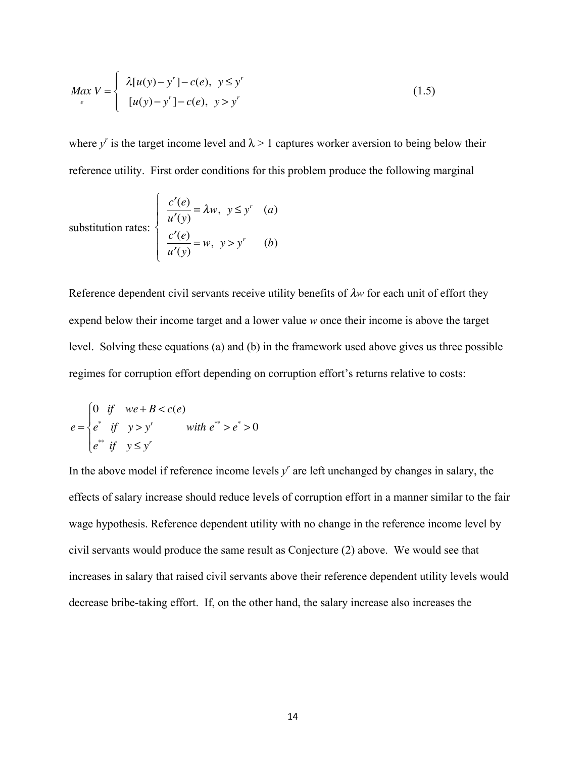$$
Max V = \begin{cases} \lambda[u(y) - y'] - c(e), & y \le y' \\ [u(y) - y'] - c(e), & y > y' \end{cases}
$$
 (1.5)

where  $y^r$  is the target income level and  $\lambda > 1$  captures worker aversion to being below their reference utility. First order conditions for this problem produce the following marginal

substitution rates: 
$$
\begin{cases} \frac{c'(e)}{u'(y)} = \lambda w, & y \le y' \\ \frac{c'(e)}{u'(y)} = w, & y > y' \end{cases}
$$
 (a)  
(b)

Reference dependent civil servants receive utility benefits of λ*w* for each unit of effort they expend below their income target and a lower value *w* once their income is above the target level. Solving these equations (a) and (b) in the framework used above gives us three possible regimes for corruption effort depending on corruption effort's returns relative to costs:

$$
e = \begin{cases} 0 & \text{if} \quad we + B < c(e) \\ e^* & \text{if} \quad y > y^r \quad \text{with } e^{**} > e^* > 0 \\ e^{**} & \text{if} \quad y \le y^r \end{cases}
$$

In the above model if reference income levels  $y<sup>r</sup>$  are left unchanged by changes in salary, the effects of salary increase should reduce levels of corruption effort in a manner similar to the fair wage hypothesis. Reference dependent utility with no change in the reference income level by civil servants would produce the same result as Conjecture (2) above. We would see that increases in salary that raised civil servants above their reference dependent utility levels would decrease bribe-taking effort. If, on the other hand, the salary increase also increases the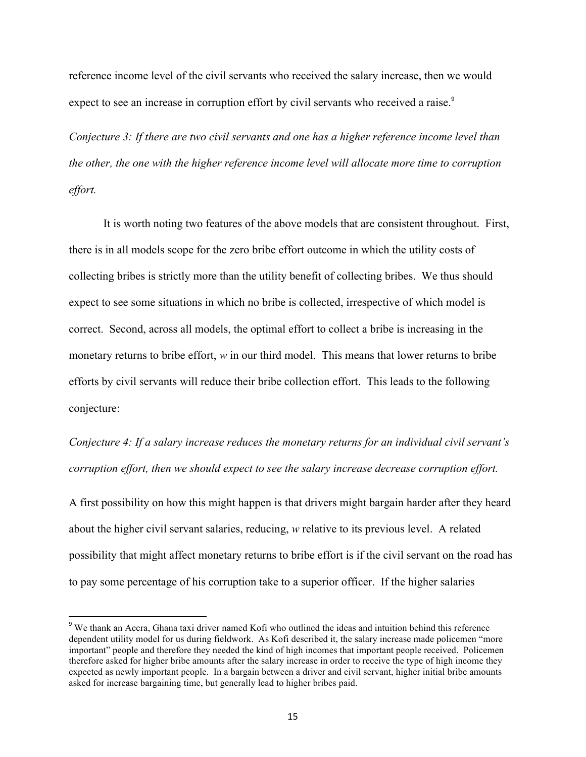reference income level of the civil servants who received the salary increase, then we would expect to see an increase in corruption effort by civil servants who received a raise.<sup>9</sup>

*Conjecture 3: If there are two civil servants and one has a higher reference income level than the other, the one with the higher reference income level will allocate more time to corruption effort.* 

It is worth noting two features of the above models that are consistent throughout. First, there is in all models scope for the zero bribe effort outcome in which the utility costs of collecting bribes is strictly more than the utility benefit of collecting bribes. We thus should expect to see some situations in which no bribe is collected, irrespective of which model is correct. Second, across all models, the optimal effort to collect a bribe is increasing in the monetary returns to bribe effort, *w* in our third model. This means that lower returns to bribe efforts by civil servants will reduce their bribe collection effort. This leads to the following conjecture:

*Conjecture 4: If a salary increase reduces the monetary returns for an individual civil servant's corruption effort, then we should expect to see the salary increase decrease corruption effort.*

A first possibility on how this might happen is that drivers might bargain harder after they heard about the higher civil servant salaries, reducing, *w* relative to its previous level. A related possibility that might affect monetary returns to bribe effort is if the civil servant on the road has to pay some percentage of his corruption take to a superior officer. If the higher salaries

<u> 1989 - Johann Stein, fransk politik (d. 1989)</u>

<sup>&</sup>lt;sup>9</sup> We thank an Accra, Ghana taxi driver named Kofi who outlined the ideas and intuition behind this reference dependent utility model for us during fieldwork. As Kofi described it, the salary increase made policemen "more important" people and therefore they needed the kind of high incomes that important people received. Policemen therefore asked for higher bribe amounts after the salary increase in order to receive the type of high income they expected as newly important people. In a bargain between a driver and civil servant, higher initial bribe amounts asked for increase bargaining time, but generally lead to higher bribes paid.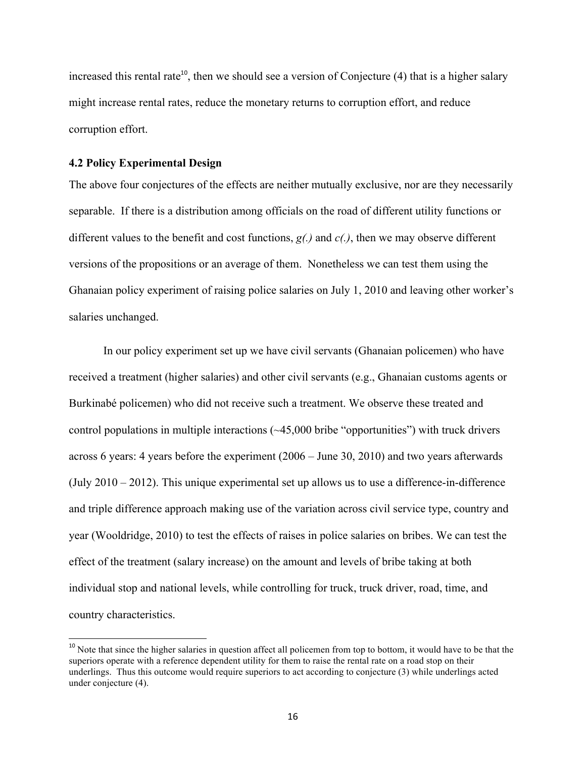increased this rental rate<sup>10</sup>, then we should see a version of Conjecture  $(4)$  that is a higher salary might increase rental rates, reduce the monetary returns to corruption effort, and reduce corruption effort.

#### **4.2 Policy Experimental Design**

 

The above four conjectures of the effects are neither mutually exclusive, nor are they necessarily separable. If there is a distribution among officials on the road of different utility functions or different values to the benefit and cost functions, *g(.)* and *c(.)*, then we may observe different versions of the propositions or an average of them. Nonetheless we can test them using the Ghanaian policy experiment of raising police salaries on July 1, 2010 and leaving other worker's salaries unchanged.

In our policy experiment set up we have civil servants (Ghanaian policemen) who have received a treatment (higher salaries) and other civil servants (e.g., Ghanaian customs agents or Burkinabé policemen) who did not receive such a treatment. We observe these treated and control populations in multiple interactions (~45,000 bribe "opportunities") with truck drivers across 6 years: 4 years before the experiment (2006 – June 30, 2010) and two years afterwards (July 2010 – 2012). This unique experimental set up allows us to use a difference-in-difference and triple difference approach making use of the variation across civil service type, country and year (Wooldridge, 2010) to test the effects of raises in police salaries on bribes. We can test the effect of the treatment (salary increase) on the amount and levels of bribe taking at both individual stop and national levels, while controlling for truck, truck driver, road, time, and country characteristics.

<sup>&</sup>lt;sup>10</sup> Note that since the higher salaries in question affect all policemen from top to bottom, it would have to be that the superiors operate with a reference dependent utility for them to raise the rental rate on a road stop on their underlings. Thus this outcome would require superiors to act according to conjecture (3) while underlings acted under conjecture (4).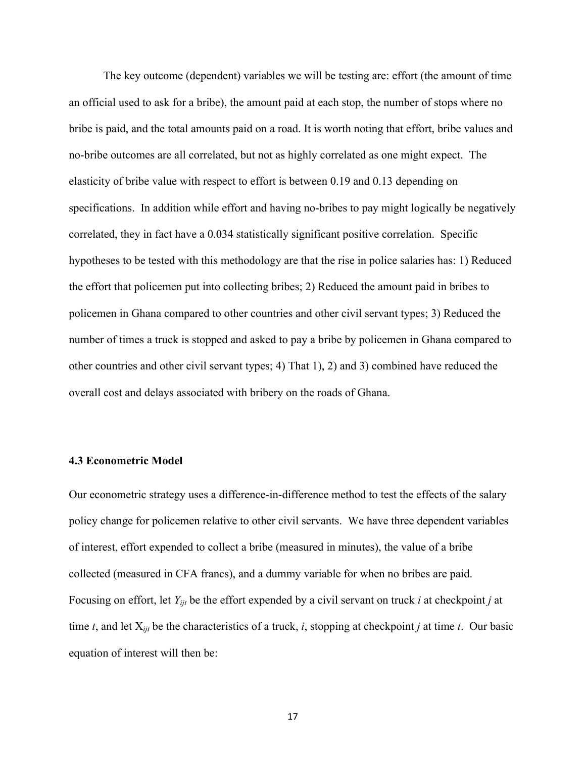The key outcome (dependent) variables we will be testing are: effort (the amount of time an official used to ask for a bribe), the amount paid at each stop, the number of stops where no bribe is paid, and the total amounts paid on a road. It is worth noting that effort, bribe values and no-bribe outcomes are all correlated, but not as highly correlated as one might expect. The elasticity of bribe value with respect to effort is between 0.19 and 0.13 depending on specifications. In addition while effort and having no-bribes to pay might logically be negatively correlated, they in fact have a 0.034 statistically significant positive correlation. Specific hypotheses to be tested with this methodology are that the rise in police salaries has: 1) Reduced the effort that policemen put into collecting bribes; 2) Reduced the amount paid in bribes to policemen in Ghana compared to other countries and other civil servant types; 3) Reduced the number of times a truck is stopped and asked to pay a bribe by policemen in Ghana compared to other countries and other civil servant types; 4) That 1), 2) and 3) combined have reduced the overall cost and delays associated with bribery on the roads of Ghana.

#### **4.3 Econometric Model**

Our econometric strategy uses a difference-in-difference method to test the effects of the salary policy change for policemen relative to other civil servants. We have three dependent variables of interest, effort expended to collect a bribe (measured in minutes), the value of a bribe collected (measured in CFA francs), and a dummy variable for when no bribes are paid. Focusing on effort, let *Yijt* be the effort expended by a civil servant on truck *i* at checkpoint *j* at time *t*, and let X*ijt* be the characteristics of a truck, *i*, stopping at checkpoint *j* at time *t*. Our basic equation of interest will then be: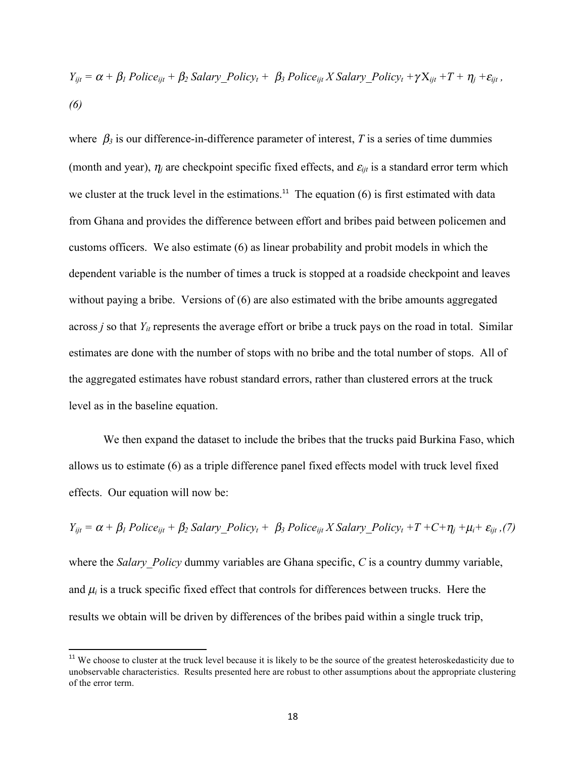$$
Y_{ijt} = \alpha + \beta_1 \text{ Police}_{ijt} + \beta_2 \text{ salary\_Policy}_{t} + \beta_3 \text{ Police}_{ijt} \text{ X salary\_Policy}_{t} + \gamma X_{ijt} + T + \eta_j + \varepsilon_{ijt},
$$
\n(6)

where  $\beta_3$  is our difference-in-difference parameter of interest, *T* is a series of time dummies (month and year),  $\eta_i$  are checkpoint specific fixed effects, and  $\varepsilon_{ijt}$  is a standard error term which we cluster at the truck level in the estimations.<sup>11</sup> The equation  $(6)$  is first estimated with data from Ghana and provides the difference between effort and bribes paid between policemen and customs officers. We also estimate (6) as linear probability and probit models in which the dependent variable is the number of times a truck is stopped at a roadside checkpoint and leaves without paying a bribe. Versions of (6) are also estimated with the bribe amounts aggregated across *j* so that  $Y_{it}$  represents the average effort or bribe a truck pays on the road in total. Similar estimates are done with the number of stops with no bribe and the total number of stops. All of the aggregated estimates have robust standard errors, rather than clustered errors at the truck level as in the baseline equation.

We then expand the dataset to include the bribes that the trucks paid Burkina Faso, which allows us to estimate (6) as a triple difference panel fixed effects model with truck level fixed effects. Our equation will now be:

 $Y_{ijt} = \alpha + \beta_1$  Police<sub>ijt</sub> +  $\beta_2$  Salary Policy<sub>t</sub> +  $\beta_3$  Police<sub>ijt</sub> X Salary Policy<sub>t</sub> + T + C +  $\eta_i$  +  $\mu_i$  +  $\varepsilon_{ijt}$ , (7) where the *Salary Policy* dummy variables are Ghana specific, *C* is a country dummy variable, and  $\mu_i$  is a truck specific fixed effect that controls for differences between trucks. Here the results we obtain will be driven by differences of the bribes paid within a single truck trip,

<u> 1989 - Johann Stein, fransk politik (d. 1989)</u>

<sup>&</sup>lt;sup>11</sup> We choose to cluster at the truck level because it is likely to be the source of the greatest heteroskedasticity due to unobservable characteristics. Results presented here are robust to other assumptions about the appropriate clustering of the error term.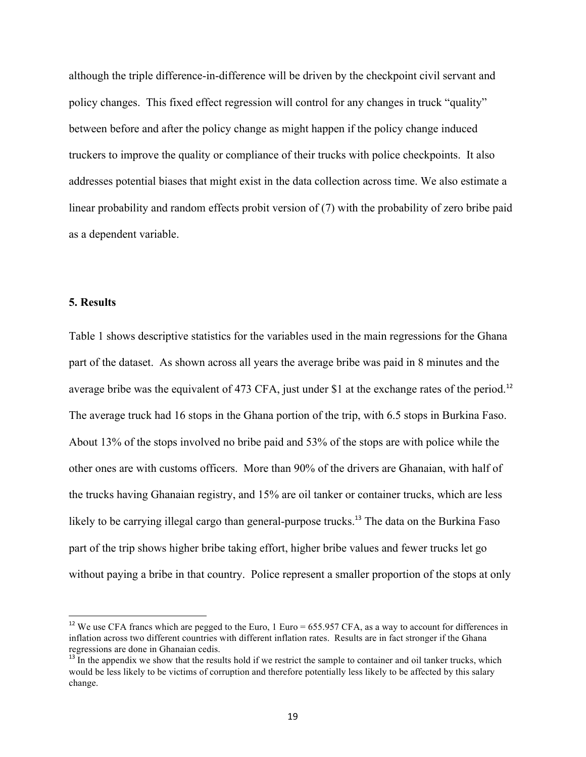although the triple difference-in-difference will be driven by the checkpoint civil servant and policy changes. This fixed effect regression will control for any changes in truck "quality" between before and after the policy change as might happen if the policy change induced truckers to improve the quality or compliance of their trucks with police checkpoints. It also addresses potential biases that might exist in the data collection across time. We also estimate a linear probability and random effects probit version of (7) with the probability of zero bribe paid as a dependent variable.

#### **5. Results**

<u> 1989 - Johann Stein, fransk politik (d. 1989)</u>

Table 1 shows descriptive statistics for the variables used in the main regressions for the Ghana part of the dataset. As shown across all years the average bribe was paid in 8 minutes and the average bribe was the equivalent of 473 CFA, just under \$1 at the exchange rates of the period.<sup>12</sup> The average truck had 16 stops in the Ghana portion of the trip, with 6.5 stops in Burkina Faso. About 13% of the stops involved no bribe paid and 53% of the stops are with police while the other ones are with customs officers. More than 90% of the drivers are Ghanaian, with half of the trucks having Ghanaian registry, and 15% are oil tanker or container trucks, which are less likely to be carrying illegal cargo than general-purpose trucks.<sup>13</sup> The data on the Burkina Faso part of the trip shows higher bribe taking effort, higher bribe values and fewer trucks let go without paying a bribe in that country. Police represent a smaller proportion of the stops at only

<sup>&</sup>lt;sup>12</sup> We use CFA francs which are pegged to the Euro, 1 Euro = 655.957 CFA, as a way to account for differences in inflation across two different countries with different inflation rates. Results are in fact stronger if the Ghana regressions are done in Ghanaian cedis.<br><sup>13</sup> In the appendix we show that the results hold if we restrict the sample to container and oil tanker trucks, which

would be less likely to be victims of corruption and therefore potentially less likely to be affected by this salary change.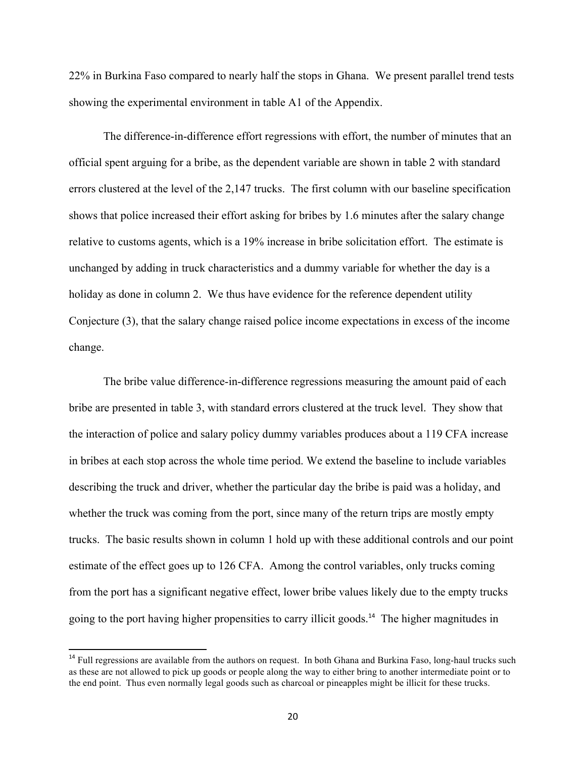22% in Burkina Faso compared to nearly half the stops in Ghana. We present parallel trend tests showing the experimental environment in table A1 of the Appendix.

The difference-in-difference effort regressions with effort, the number of minutes that an official spent arguing for a bribe, as the dependent variable are shown in table 2 with standard errors clustered at the level of the 2,147 trucks. The first column with our baseline specification shows that police increased their effort asking for bribes by 1.6 minutes after the salary change relative to customs agents, which is a 19% increase in bribe solicitation effort. The estimate is unchanged by adding in truck characteristics and a dummy variable for whether the day is a holiday as done in column 2. We thus have evidence for the reference dependent utility Conjecture (3), that the salary change raised police income expectations in excess of the income change.

The bribe value difference-in-difference regressions measuring the amount paid of each bribe are presented in table 3, with standard errors clustered at the truck level. They show that the interaction of police and salary policy dummy variables produces about a 119 CFA increase in bribes at each stop across the whole time period. We extend the baseline to include variables describing the truck and driver, whether the particular day the bribe is paid was a holiday, and whether the truck was coming from the port, since many of the return trips are mostly empty trucks. The basic results shown in column 1 hold up with these additional controls and our point estimate of the effect goes up to 126 CFA. Among the control variables, only trucks coming from the port has a significant negative effect, lower bribe values likely due to the empty trucks going to the port having higher propensities to carry illicit goods.<sup>14</sup> The higher magnitudes in

<u> 1989 - Johann Stein, fransk politik (d. 1989)</u>

<sup>&</sup>lt;sup>14</sup> Full regressions are available from the authors on request. In both Ghana and Burkina Faso, long-haul trucks such as these are not allowed to pick up goods or people along the way to either bring to another intermediate point or to the end point. Thus even normally legal goods such as charcoal or pineapples might be illicit for these trucks.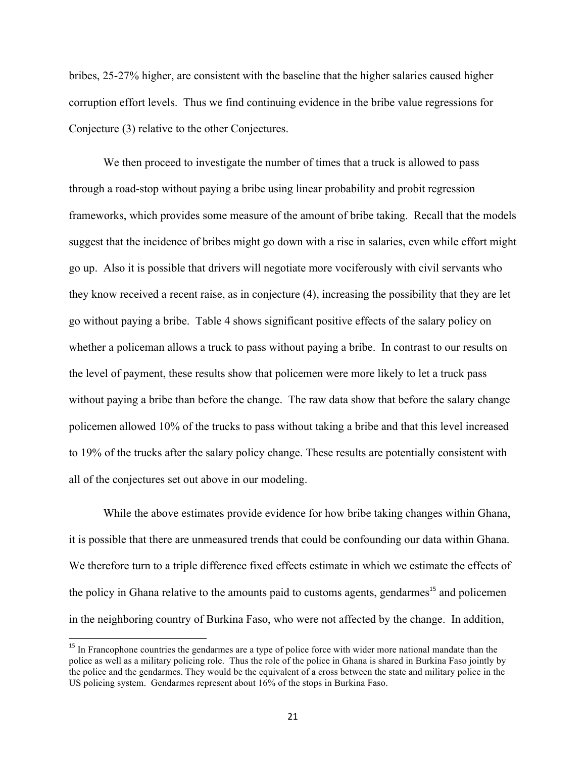bribes, 25-27% higher, are consistent with the baseline that the higher salaries caused higher corruption effort levels. Thus we find continuing evidence in the bribe value regressions for Conjecture (3) relative to the other Conjectures.

We then proceed to investigate the number of times that a truck is allowed to pass through a road-stop without paying a bribe using linear probability and probit regression frameworks, which provides some measure of the amount of bribe taking. Recall that the models suggest that the incidence of bribes might go down with a rise in salaries, even while effort might go up. Also it is possible that drivers will negotiate more vociferously with civil servants who they know received a recent raise, as in conjecture (4), increasing the possibility that they are let go without paying a bribe. Table 4 shows significant positive effects of the salary policy on whether a policeman allows a truck to pass without paying a bribe. In contrast to our results on the level of payment, these results show that policemen were more likely to let a truck pass without paying a bribe than before the change. The raw data show that before the salary change policemen allowed 10% of the trucks to pass without taking a bribe and that this level increased to 19% of the trucks after the salary policy change. These results are potentially consistent with all of the conjectures set out above in our modeling.

While the above estimates provide evidence for how bribe taking changes within Ghana, it is possible that there are unmeasured trends that could be confounding our data within Ghana. We therefore turn to a triple difference fixed effects estimate in which we estimate the effects of the policy in Ghana relative to the amounts paid to customs agents, gendarmes<sup>15</sup> and policemen in the neighboring country of Burkina Faso, who were not affected by the change. In addition,

<sup>&</sup>lt;sup>15</sup> In Francophone countries the gendarmes are a type of police force with wider more national mandate than the police as well as a military policing role. Thus the role of the police in Ghana is shared in Burkina Faso jointly by the police and the gendarmes. They would be the equivalent of a cross between the state and military police in the US policing system. Gendarmes represent about 16% of the stops in Burkina Faso.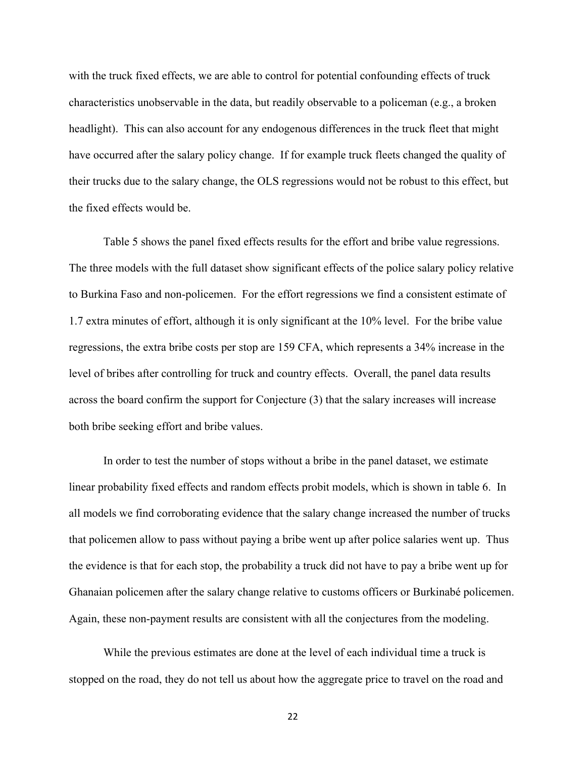with the truck fixed effects, we are able to control for potential confounding effects of truck characteristics unobservable in the data, but readily observable to a policeman (e.g., a broken headlight). This can also account for any endogenous differences in the truck fleet that might have occurred after the salary policy change. If for example truck fleets changed the quality of their trucks due to the salary change, the OLS regressions would not be robust to this effect, but the fixed effects would be.

Table 5 shows the panel fixed effects results for the effort and bribe value regressions. The three models with the full dataset show significant effects of the police salary policy relative to Burkina Faso and non-policemen. For the effort regressions we find a consistent estimate of 1.7 extra minutes of effort, although it is only significant at the 10% level. For the bribe value regressions, the extra bribe costs per stop are 159 CFA, which represents a 34% increase in the level of bribes after controlling for truck and country effects. Overall, the panel data results across the board confirm the support for Conjecture (3) that the salary increases will increase both bribe seeking effort and bribe values.

In order to test the number of stops without a bribe in the panel dataset, we estimate linear probability fixed effects and random effects probit models, which is shown in table 6. In all models we find corroborating evidence that the salary change increased the number of trucks that policemen allow to pass without paying a bribe went up after police salaries went up. Thus the evidence is that for each stop, the probability a truck did not have to pay a bribe went up for Ghanaian policemen after the salary change relative to customs officers or Burkinabé policemen. Again, these non-payment results are consistent with all the conjectures from the modeling.

While the previous estimates are done at the level of each individual time a truck is stopped on the road, they do not tell us about how the aggregate price to travel on the road and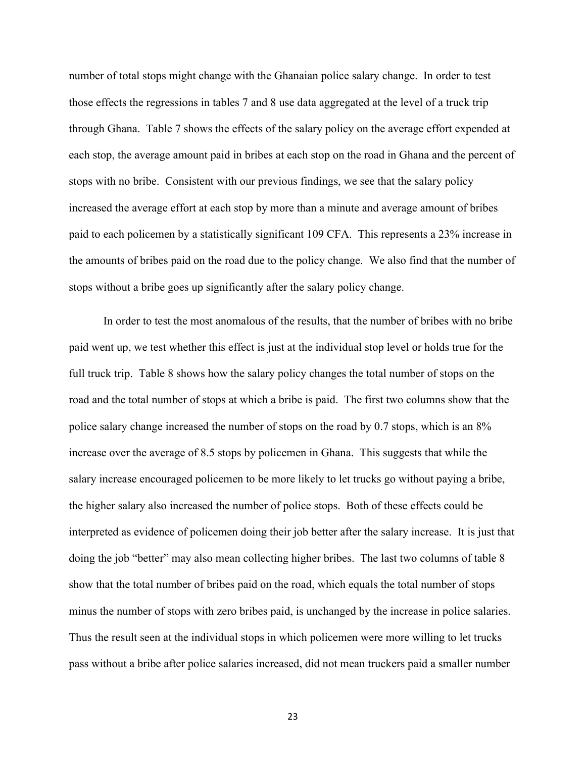number of total stops might change with the Ghanaian police salary change. In order to test those effects the regressions in tables 7 and 8 use data aggregated at the level of a truck trip through Ghana. Table 7 shows the effects of the salary policy on the average effort expended at each stop, the average amount paid in bribes at each stop on the road in Ghana and the percent of stops with no bribe. Consistent with our previous findings, we see that the salary policy increased the average effort at each stop by more than a minute and average amount of bribes paid to each policemen by a statistically significant 109 CFA. This represents a 23% increase in the amounts of bribes paid on the road due to the policy change. We also find that the number of stops without a bribe goes up significantly after the salary policy change.

In order to test the most anomalous of the results, that the number of bribes with no bribe paid went up, we test whether this effect is just at the individual stop level or holds true for the full truck trip. Table 8 shows how the salary policy changes the total number of stops on the road and the total number of stops at which a bribe is paid. The first two columns show that the police salary change increased the number of stops on the road by 0.7 stops, which is an 8% increase over the average of 8.5 stops by policemen in Ghana. This suggests that while the salary increase encouraged policemen to be more likely to let trucks go without paying a bribe, the higher salary also increased the number of police stops. Both of these effects could be interpreted as evidence of policemen doing their job better after the salary increase. It is just that doing the job "better" may also mean collecting higher bribes. The last two columns of table 8 show that the total number of bribes paid on the road, which equals the total number of stops minus the number of stops with zero bribes paid, is unchanged by the increase in police salaries. Thus the result seen at the individual stops in which policemen were more willing to let trucks pass without a bribe after police salaries increased, did not mean truckers paid a smaller number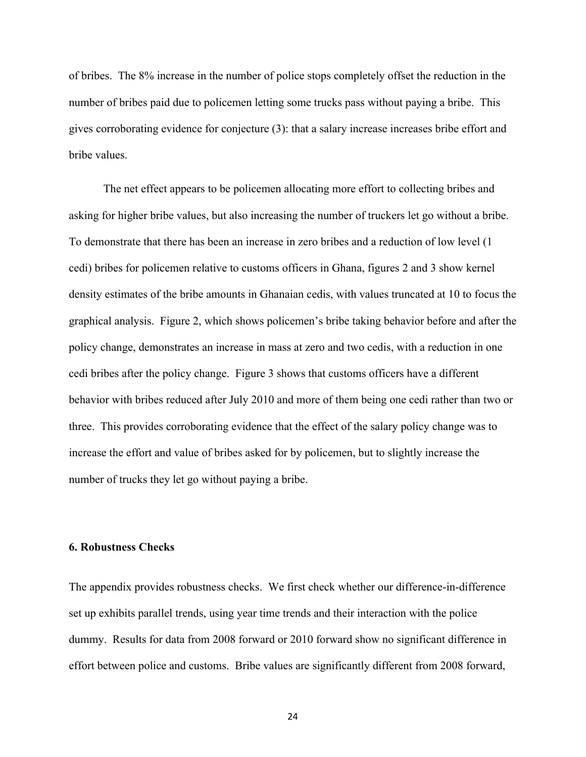of bribes. The 8% increase in the number of police stops completely offset the reduction in the number of bribes paid due to policemen letting some trucks pass without paying a bribe. This gives corroborating evidence for conjecture (3): that a salary increase increases bribe effort and bribe values.

The net effect appears to be policemen allocating more effort to collecting bribes and asking for higher bribe values, but also increasing the number of truckers let go without a bribe. To demonstrate that there has been an increase in zero bribes and a reduction of low level (1 cedi) bribes for policemen relative to customs officers in Ghana, figures 2 and 3 show kernel density estimates of the bribe amounts in Ghanaian cedis, with values truncated at 10 to focus the graphical analysis. Figure 2, which shows policemen's bribe taking behavior before and after the policy change, demonstrates an increase in mass at zero and two cedis, with a reduction in one cedi bribes after the policy change. Figure 3 shows that customs officers have a different behavior with bribes reduced after July 2010 and more of them being one cedi rather than two or three. This provides corroborating evidence that the effect of the salary policy change was to increase the effort and value of bribes asked for by policemen, but to slightly increase the number of trucks they let go without paying a bribe.

## **6. Robustness Checks**

The appendix provides robustness checks. We first check whether our difference-in-difference set up exhibits parallel trends, using year time trends and their interaction with the police dummy. Results for data from 2008 forward or 2010 forward show no significant difference in effort between police and customs. Bribe values are significantly different from 2008 forward,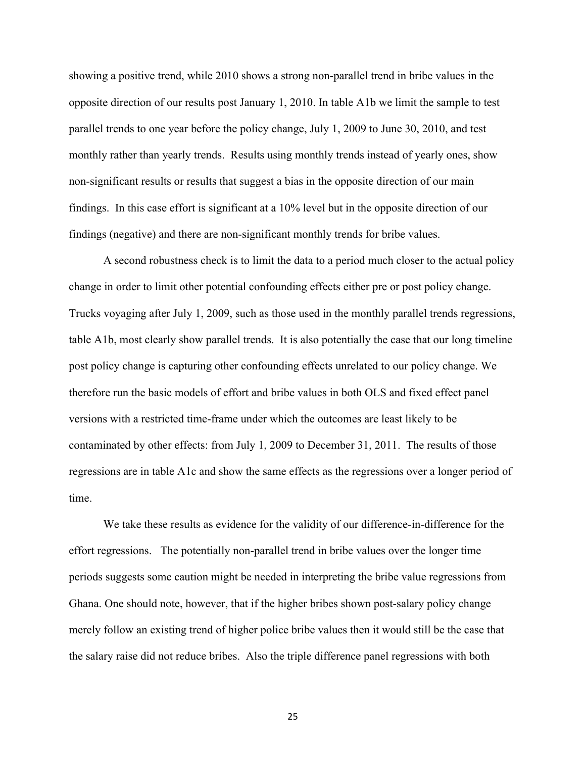showing a positive trend, while 2010 shows a strong non-parallel trend in bribe values in the opposite direction of our results post January 1, 2010. In table A1b we limit the sample to test parallel trends to one year before the policy change, July 1, 2009 to June 30, 2010, and test monthly rather than yearly trends. Results using monthly trends instead of yearly ones, show non-significant results or results that suggest a bias in the opposite direction of our main findings. In this case effort is significant at a 10% level but in the opposite direction of our findings (negative) and there are non-significant monthly trends for bribe values.

A second robustness check is to limit the data to a period much closer to the actual policy change in order to limit other potential confounding effects either pre or post policy change. Trucks voyaging after July 1, 2009, such as those used in the monthly parallel trends regressions, table A1b, most clearly show parallel trends. It is also potentially the case that our long timeline post policy change is capturing other confounding effects unrelated to our policy change. We therefore run the basic models of effort and bribe values in both OLS and fixed effect panel versions with a restricted time-frame under which the outcomes are least likely to be contaminated by other effects: from July 1, 2009 to December 31, 2011. The results of those regressions are in table A1c and show the same effects as the regressions over a longer period of time.

We take these results as evidence for the validity of our difference-in-difference for the effort regressions. The potentially non-parallel trend in bribe values over the longer time periods suggests some caution might be needed in interpreting the bribe value regressions from Ghana. One should note, however, that if the higher bribes shown post-salary policy change merely follow an existing trend of higher police bribe values then it would still be the case that the salary raise did not reduce bribes. Also the triple difference panel regressions with both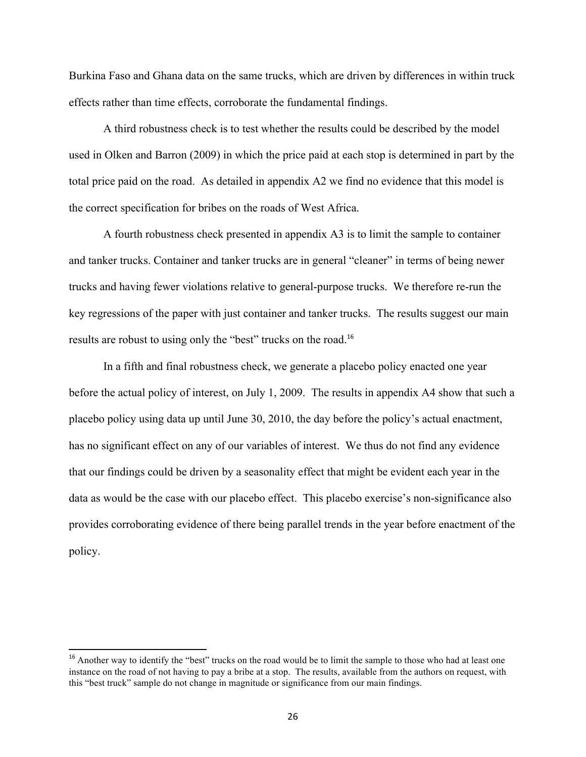Burkina Faso and Ghana data on the same trucks, which are driven by differences in within truck effects rather than time effects, corroborate the fundamental findings.

A third robustness check is to test whether the results could be described by the model used in Olken and Barron (2009) in which the price paid at each stop is determined in part by the total price paid on the road. As detailed in appendix A2 we find no evidence that this model is the correct specification for bribes on the roads of West Africa.

A fourth robustness check presented in appendix A3 is to limit the sample to container and tanker trucks. Container and tanker trucks are in general "cleaner" in terms of being newer trucks and having fewer violations relative to general-purpose trucks. We therefore re-run the key regressions of the paper with just container and tanker trucks. The results suggest our main results are robust to using only the "best" trucks on the road.<sup>16</sup>

In a fifth and final robustness check, we generate a placebo policy enacted one year before the actual policy of interest, on July 1, 2009. The results in appendix A4 show that such a placebo policy using data up until June 30, 2010, the day before the policy's actual enactment, has no significant effect on any of our variables of interest. We thus do not find any evidence that our findings could be driven by a seasonality effect that might be evident each year in the data as would be the case with our placebo effect. This placebo exercise's non-significance also provides corroborating evidence of there being parallel trends in the year before enactment of the policy.

<u> 1989 - Johann Stein, fransk politik (d. 1989)</u>

<sup>&</sup>lt;sup>16</sup> Another way to identify the "best" trucks on the road would be to limit the sample to those who had at least one instance on the road of not having to pay a bribe at a stop. The results, available from the authors on request, with this "best truck" sample do not change in magnitude or significance from our main findings.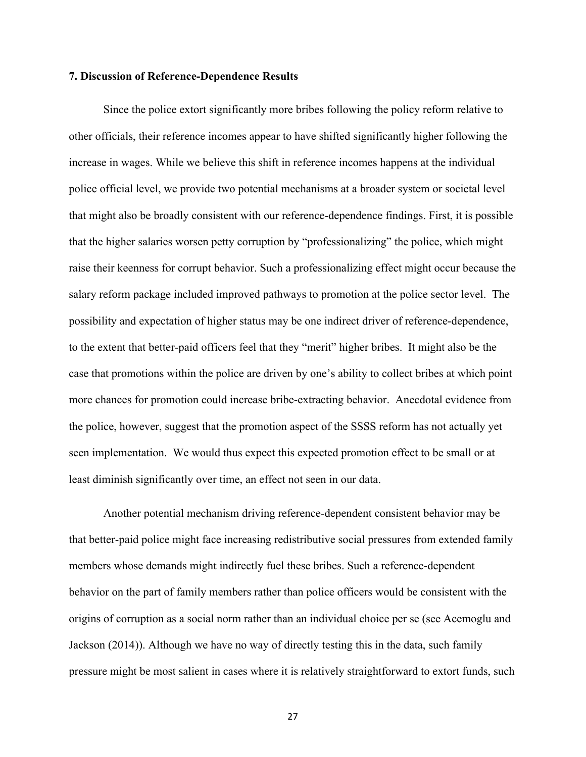#### **7. Discussion of Reference-Dependence Results**

Since the police extort significantly more bribes following the policy reform relative to other officials, their reference incomes appear to have shifted significantly higher following the increase in wages. While we believe this shift in reference incomes happens at the individual police official level, we provide two potential mechanisms at a broader system or societal level that might also be broadly consistent with our reference-dependence findings. First, it is possible that the higher salaries worsen petty corruption by "professionalizing" the police, which might raise their keenness for corrupt behavior. Such a professionalizing effect might occur because the salary reform package included improved pathways to promotion at the police sector level. The possibility and expectation of higher status may be one indirect driver of reference-dependence, to the extent that better-paid officers feel that they "merit" higher bribes. It might also be the case that promotions within the police are driven by one's ability to collect bribes at which point more chances for promotion could increase bribe-extracting behavior. Anecdotal evidence from the police, however, suggest that the promotion aspect of the SSSS reform has not actually yet seen implementation. We would thus expect this expected promotion effect to be small or at least diminish significantly over time, an effect not seen in our data.

Another potential mechanism driving reference-dependent consistent behavior may be that better-paid police might face increasing redistributive social pressures from extended family members whose demands might indirectly fuel these bribes. Such a reference-dependent behavior on the part of family members rather than police officers would be consistent with the origins of corruption as a social norm rather than an individual choice per se (see Acemoglu and Jackson (2014)). Although we have no way of directly testing this in the data, such family pressure might be most salient in cases where it is relatively straightforward to extort funds, such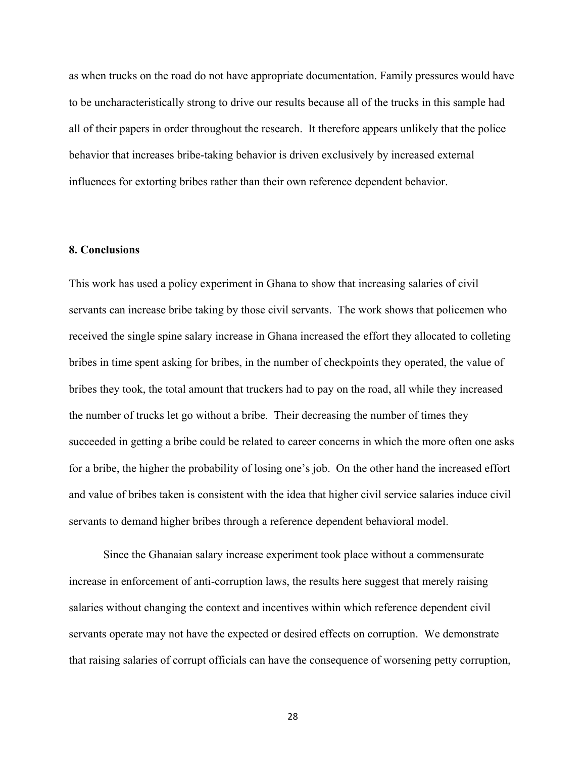as when trucks on the road do not have appropriate documentation. Family pressures would have to be uncharacteristically strong to drive our results because all of the trucks in this sample had all of their papers in order throughout the research. It therefore appears unlikely that the police behavior that increases bribe-taking behavior is driven exclusively by increased external influences for extorting bribes rather than their own reference dependent behavior.

#### **8. Conclusions**

This work has used a policy experiment in Ghana to show that increasing salaries of civil servants can increase bribe taking by those civil servants. The work shows that policemen who received the single spine salary increase in Ghana increased the effort they allocated to colleting bribes in time spent asking for bribes, in the number of checkpoints they operated, the value of bribes they took, the total amount that truckers had to pay on the road, all while they increased the number of trucks let go without a bribe. Their decreasing the number of times they succeeded in getting a bribe could be related to career concerns in which the more often one asks for a bribe, the higher the probability of losing one's job. On the other hand the increased effort and value of bribes taken is consistent with the idea that higher civil service salaries induce civil servants to demand higher bribes through a reference dependent behavioral model.

Since the Ghanaian salary increase experiment took place without a commensurate increase in enforcement of anti-corruption laws, the results here suggest that merely raising salaries without changing the context and incentives within which reference dependent civil servants operate may not have the expected or desired effects on corruption. We demonstrate that raising salaries of corrupt officials can have the consequence of worsening petty corruption,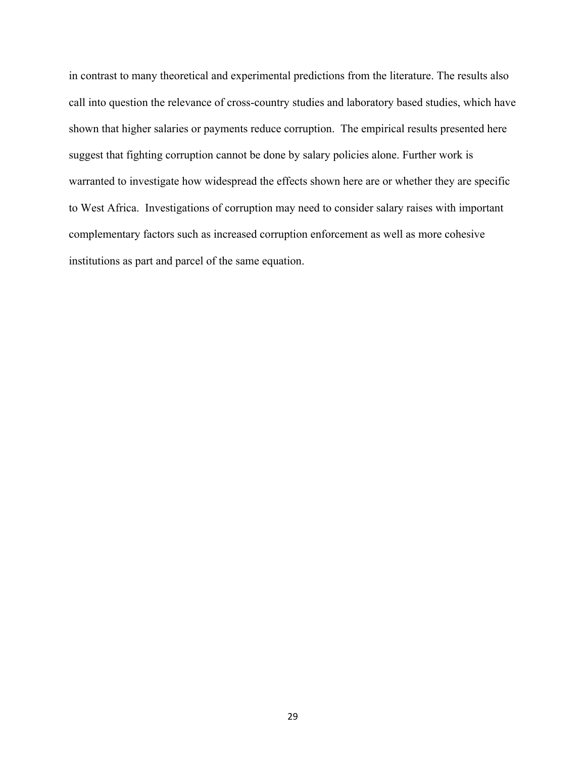in contrast to many theoretical and experimental predictions from the literature. The results also call into question the relevance of cross-country studies and laboratory based studies, which have shown that higher salaries or payments reduce corruption. The empirical results presented here suggest that fighting corruption cannot be done by salary policies alone. Further work is warranted to investigate how widespread the effects shown here are or whether they are specific to West Africa. Investigations of corruption may need to consider salary raises with important complementary factors such as increased corruption enforcement as well as more cohesive institutions as part and parcel of the same equation.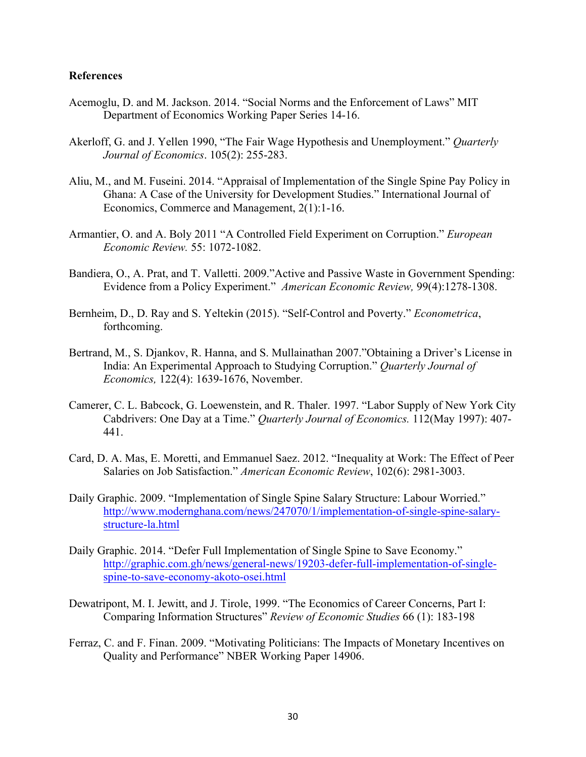#### **References**

- Acemoglu, D. and M. Jackson. 2014. "Social Norms and the Enforcement of Laws" MIT Department of Economics Working Paper Series 14-16.
- Akerloff, G. and J. Yellen 1990, "The Fair Wage Hypothesis and Unemployment." *Quarterly Journal of Economics*. 105(2): 255-283.
- Aliu, M., and M. Fuseini. 2014. "Appraisal of Implementation of the Single Spine Pay Policy in Ghana: A Case of the University for Development Studies." International Journal of Economics, Commerce and Management, 2(1):1-16.
- Armantier, O. and A. Boly 2011 "A Controlled Field Experiment on Corruption." *European Economic Review.* 55: 1072-1082.
- Bandiera, O., A. Prat, and T. Valletti. 2009."Active and Passive Waste in Government Spending: Evidence from a Policy Experiment." *American Economic Review,* 99(4):1278-1308.
- Bernheim, D., D. Ray and S. Yeltekin (2015). "Self-Control and Poverty." *Econometrica*, forthcoming.
- Bertrand, M., S. Djankov, R. Hanna, and S. Mullainathan 2007."Obtaining a Driver's License in India: An Experimental Approach to Studying Corruption." *Quarterly Journal of Economics,* 122(4): 1639-1676, November.
- Camerer, C. L. Babcock, G. Loewenstein, and R. Thaler. 1997. "Labor Supply of New York City Cabdrivers: One Day at a Time." *Quarterly Journal of Economics.* 112(May 1997): 407- 441.
- Card, D. A. Mas, E. Moretti, and Emmanuel Saez. 2012. "Inequality at Work: The Effect of Peer Salaries on Job Satisfaction." *American Economic Review*, 102(6): 2981-3003.
- Daily Graphic. 2009. "Implementation of Single Spine Salary Structure: Labour Worried." http://www.modernghana.com/news/247070/1/implementation-of-single-spine-salarystructure-la.html
- Daily Graphic. 2014. "Defer Full Implementation of Single Spine to Save Economy." http://graphic.com.gh/news/general-news/19203-defer-full-implementation-of-singlespine-to-save-economy-akoto-osei.html
- Dewatripont, M. I. Jewitt, and J. Tirole, 1999. "The Economics of Career Concerns, Part I: Comparing Information Structures" *Review of Economic Studies* 66 (1): 183-198
- Ferraz, C. and F. Finan. 2009. "Motivating Politicians: The Impacts of Monetary Incentives on Quality and Performance" NBER Working Paper 14906.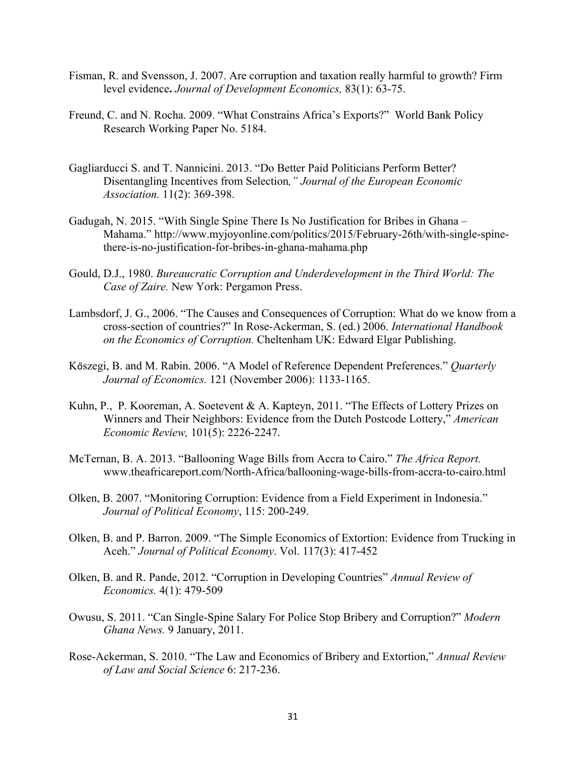- Fisman, R. and Svensson, J. 2007. Are corruption and taxation really harmful to growth? Firm level evidence**.** *Journal of Development Economics,* 83(1): 63-75.
- Freund, C. and N. Rocha. 2009. "What Constrains Africa's Exports?" World Bank Policy Research Working Paper No. 5184.
- Gagliarducci S. and T. Nannicini. 2013. "Do Better Paid Politicians Perform Better? Disentangling Incentives from Selection*," Journal of the European Economic Association.* 11(2): 369-398.
- Gadugah, N. 2015. "With Single Spine There Is No Justification for Bribes in Ghana Mahama." http://www.myjoyonline.com/politics/2015/February-26th/with-single-spinethere-is-no-justification-for-bribes-in-ghana-mahama.php
- Gould, D.J., 1980. *Bureaucratic Corruption and Underdevelopment in the Third World: The Case of Zaire.* New York: Pergamon Press.
- Lambsdorf, J. G., 2006. "The Causes and Consequences of Corruption: What do we know from a cross-section of countries?" In Rose-Ackerman, S. (ed.) 2006. *International Handbook on the Economics of Corruption.* Cheltenham UK: Edward Elgar Publishing.
- Kőszegi, B. and M. Rabin. 2006. "A Model of Reference Dependent Preferences." *Quarterly Journal of Economics.* 121 (November 2006): 1133-1165.
- Kuhn, P., P. Kooreman, A. Soetevent & A. Kapteyn, 2011. "The Effects of Lottery Prizes on Winners and Their Neighbors: Evidence from the Dutch Postcode Lottery," *American Economic Review,* 101(5): 2226-2247.
- McTernan, B. A. 2013. "Ballooning Wage Bills from Accra to Cairo." *The Africa Report.* www.theafricareport.com/North-Africa/ballooning-wage-bills-from-accra-to-cairo.html
- Olken, B. 2007. "Monitoring Corruption: Evidence from a Field Experiment in Indonesia." *Journal of Political Economy*, 115: 200-249.
- Olken, B. and P. Barron. 2009. "The Simple Economics of Extortion: Evidence from Trucking in Aceh." *Journal of Political Economy*. Vol. 117(3): 417-452
- Olken, B. and R. Pande, 2012. "Corruption in Developing Countries" *Annual Review of Economics.* 4(1): 479-509
- Owusu, S. 2011. "Can Single-Spine Salary For Police Stop Bribery and Corruption?" *Modern Ghana News.* 9 January, 2011.
- Rose-Ackerman, S. 2010. "The Law and Economics of Bribery and Extortion," *Annual Review of Law and Social Science* 6: 217-236.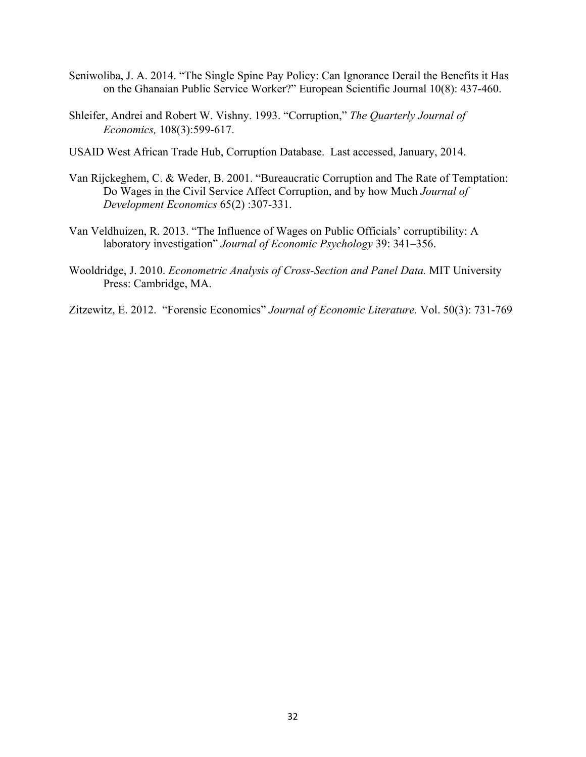- Seniwoliba, J. A. 2014. "The Single Spine Pay Policy: Can Ignorance Derail the Benefits it Has on the Ghanaian Public Service Worker?" European Scientific Journal 10(8): 437-460.
- Shleifer, Andrei and Robert W. Vishny. 1993. "Corruption," *The Quarterly Journal of Economics,* 108(3):599-617.
- USAID West African Trade Hub, Corruption Database. Last accessed, January, 2014.
- Van Rijckeghem, C. & Weder, B. 2001. "Bureaucratic Corruption and The Rate of Temptation: Do Wages in the Civil Service Affect Corruption, and by how Much *Journal of Development Economics* 65(2) :307-331.
- Van Veldhuizen, R. 2013. "The Influence of Wages on Public Officials' corruptibility: A laboratory investigation" *Journal of Economic Psychology* 39: 341–356.
- Wooldridge, J. 2010. *Econometric Analysis of Cross-Section and Panel Data.* MIT University Press: Cambridge, MA.
- Zitzewitz, E. 2012. "Forensic Economics" *Journal of Economic Literature.* Vol. 50(3): 731-769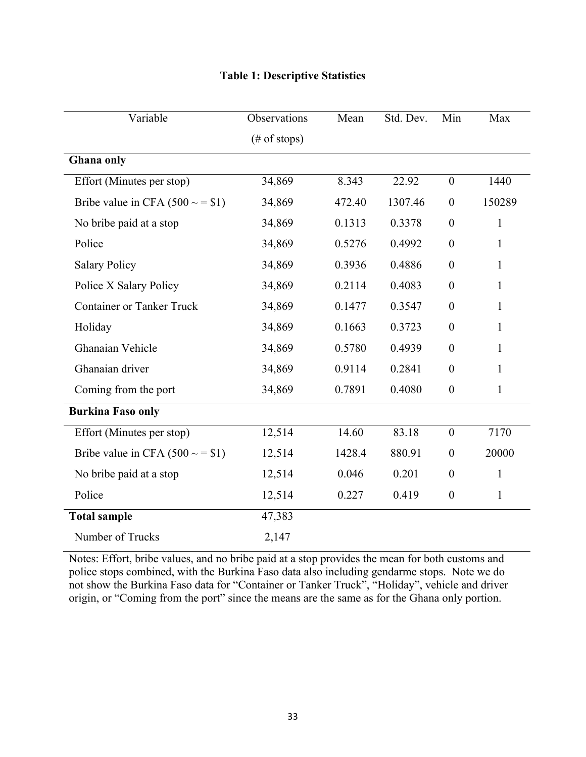| Variable                           | Observations            | Mean   | Std. Dev. | Min              | Max          |
|------------------------------------|-------------------------|--------|-----------|------------------|--------------|
|                                    | $(\# \text{ of stops})$ |        |           |                  |              |
| Ghana only                         |                         |        |           |                  |              |
| Effort (Minutes per stop)          | 34,869                  | 8.343  | 22.92     | $\boldsymbol{0}$ | 1440         |
| Bribe value in CFA $(500 \sim 51)$ | 34,869                  | 472.40 | 1307.46   | $\boldsymbol{0}$ | 150289       |
| No bribe paid at a stop            | 34,869                  | 0.1313 | 0.3378    | $\boldsymbol{0}$ | $\mathbf{1}$ |
| Police                             | 34,869                  | 0.5276 | 0.4992    | $\theta$         | 1            |
| <b>Salary Policy</b>               | 34,869                  | 0.3936 | 0.4886    | $\boldsymbol{0}$ | $\mathbf{1}$ |
| Police X Salary Policy             | 34,869                  | 0.2114 | 0.4083    | $\boldsymbol{0}$ | $\mathbf{1}$ |
| <b>Container or Tanker Truck</b>   | 34,869                  | 0.1477 | 0.3547    | $\theta$         | $\mathbf{1}$ |
| Holiday                            | 34,869                  | 0.1663 | 0.3723    | $\boldsymbol{0}$ | $\mathbf{1}$ |
| Ghanaian Vehicle                   | 34,869                  | 0.5780 | 0.4939    | $\theta$         | $\mathbf{1}$ |
| Ghanaian driver                    | 34,869                  | 0.9114 | 0.2841    | $\boldsymbol{0}$ | 1            |
| Coming from the port               | 34,869                  | 0.7891 | 0.4080    | $\boldsymbol{0}$ | $\mathbf{1}$ |
| <b>Burkina Faso only</b>           |                         |        |           |                  |              |
| Effort (Minutes per stop)          | 12,514                  | 14.60  | 83.18     | $\mathbf{0}$     | 7170         |
| Bribe value in CFA $(500 \sim 51)$ | 12,514                  | 1428.4 | 880.91    | $\boldsymbol{0}$ | 20000        |
| No bribe paid at a stop            | 12,514                  | 0.046  | 0.201     | $\overline{0}$   | 1            |
| Police                             | 12,514                  | 0.227  | 0.419     | $\boldsymbol{0}$ | $\mathbf{1}$ |
| <b>Total sample</b>                | 47,383                  |        |           |                  |              |
| Number of Trucks                   | 2,147                   |        |           |                  |              |

## **Table 1: Descriptive Statistics**

Notes: Effort, bribe values, and no bribe paid at a stop provides the mean for both customs and police stops combined, with the Burkina Faso data also including gendarme stops. Note we do not show the Burkina Faso data for "Container or Tanker Truck", "Holiday", vehicle and driver origin, or "Coming from the port" since the means are the same as for the Ghana only portion.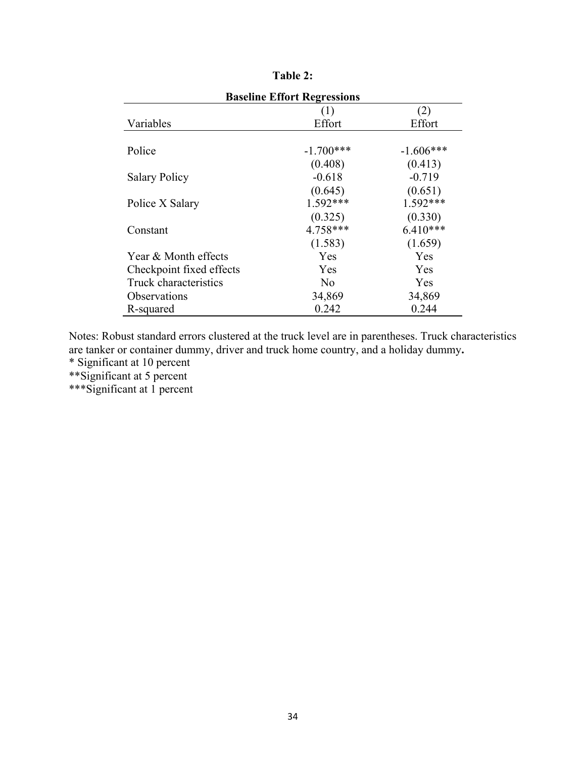| <b>Baseline Effort Regressions</b> |                |             |  |  |  |  |
|------------------------------------|----------------|-------------|--|--|--|--|
|                                    | (2)<br>(1)     |             |  |  |  |  |
| Variables                          | Effort         | Effort      |  |  |  |  |
|                                    |                |             |  |  |  |  |
| Police                             | $-1.700***$    | $-1.606***$ |  |  |  |  |
|                                    | (0.408)        | (0.413)     |  |  |  |  |
| <b>Salary Policy</b>               | $-0.618$       | $-0.719$    |  |  |  |  |
|                                    | (0.645)        | (0.651)     |  |  |  |  |
| Police X Salary                    | $1.592***$     | $1.592***$  |  |  |  |  |
|                                    | (0.325)        | (0.330)     |  |  |  |  |
| Constant                           | 4.758***       | $6.410***$  |  |  |  |  |
|                                    | (1.583)        | (1.659)     |  |  |  |  |
| Year & Month effects               | <b>Yes</b>     | Yes         |  |  |  |  |
| Checkpoint fixed effects           | Yes            | Yes         |  |  |  |  |
| Truck characteristics              | N <sub>0</sub> | Yes         |  |  |  |  |
| <i><b>Observations</b></i>         | 34,869         | 34,869      |  |  |  |  |
| R-squared                          | 0.242          | 0.244       |  |  |  |  |

| `able : |  |
|---------|--|
|---------|--|

Notes: Robust standard errors clustered at the truck level are in parentheses. Truck characteristics are tanker or container dummy, driver and truck home country, and a holiday dummy**.**

\* Significant at 10 percent

\*\*Significant at 5 percent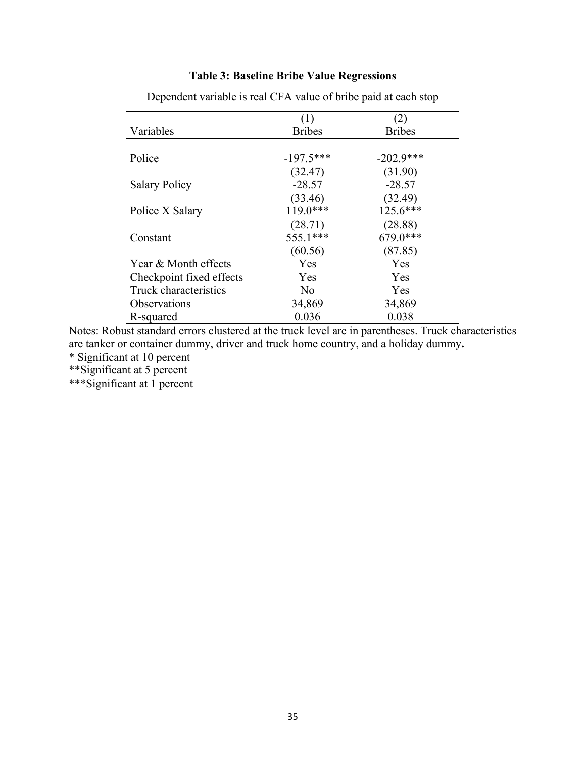## **Table 3: Baseline Bribe Value Regressions**

|                            | (1)            | (2)           |
|----------------------------|----------------|---------------|
| Variables                  | <b>Bribes</b>  | <b>Bribes</b> |
|                            |                |               |
| Police                     | $-197.5***$    | $-202.9$ ***  |
|                            | (32.47)        | (31.90)       |
| <b>Salary Policy</b>       | $-28.57$       | $-28.57$      |
|                            | (33.46)        | (32.49)       |
| Police X Salary            | $119.0***$     | $125.6***$    |
|                            | (28.71)        | (28.88)       |
| Constant                   | 555.1***       | 679.0***      |
|                            | (60.56)        | (87.85)       |
| Year & Month effects       | <b>Yes</b>     | Yes           |
| Checkpoint fixed effects   | <b>Yes</b>     | Yes           |
| Truck characteristics      | N <sub>0</sub> | Yes           |
| <i><b>Observations</b></i> | 34,869         | 34,869        |
| R-squared                  | 0.036          | 0.038         |

Dependent variable is real CFA value of bribe paid at each stop

Notes: Robust standard errors clustered at the truck level are in parentheses. Truck characteristics are tanker or container dummy, driver and truck home country, and a holiday dummy**.**

\* Significant at 10 percent

\*\*Significant at 5 percent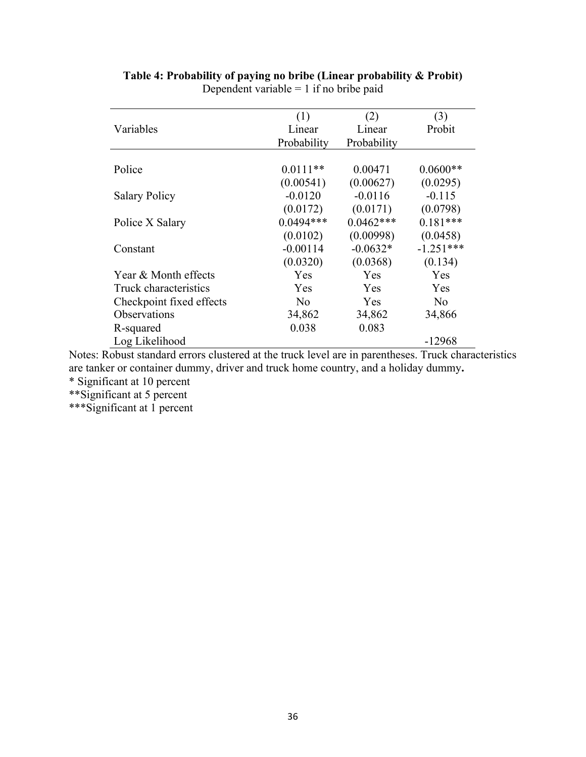|                          | (1)            | (2)         | (3)         |
|--------------------------|----------------|-------------|-------------|
| Variables                | Linear         | Linear      | Probit      |
|                          | Probability    | Probability |             |
|                          |                |             |             |
| Police                   | $0.0111**$     | 0.00471     | $0.0600**$  |
|                          | (0.00541)      | (0.00627)   | (0.0295)    |
| <b>Salary Policy</b>     | $-0.0120$      | $-0.0116$   | $-0.115$    |
|                          | (0.0172)       | (0.0171)    | (0.0798)    |
| Police X Salary          | $0.0494***$    | $0.0462***$ | $0.181***$  |
|                          | (0.0102)       | (0.00998)   | (0.0458)    |
| Constant                 | $-0.00114$     | $-0.0632*$  | $-1.251***$ |
|                          | (0.0320)       | (0.0368)    | (0.134)     |
| Year & Month effects     | Yes            | Yes         | Yes         |
| Truck characteristics    | Yes.           | <b>Yes</b>  | <b>Yes</b>  |
| Checkpoint fixed effects | N <sub>0</sub> | <b>Yes</b>  | No          |
| Observations             | 34,862         | 34,862      | 34,866      |
| R-squared                | 0.038          | 0.083       |             |
| Log Likelihood           |                |             | -12968      |

## **Table 4: Probability of paying no bribe (Linear probability & Probit)**  Dependent variable =  $1$  if no bribe paid

Notes: Robust standard errors clustered at the truck level are in parentheses. Truck characteristics are tanker or container dummy, driver and truck home country, and a holiday dummy**.** \* Significant at 10 percent

\*\*Significant at 5 percent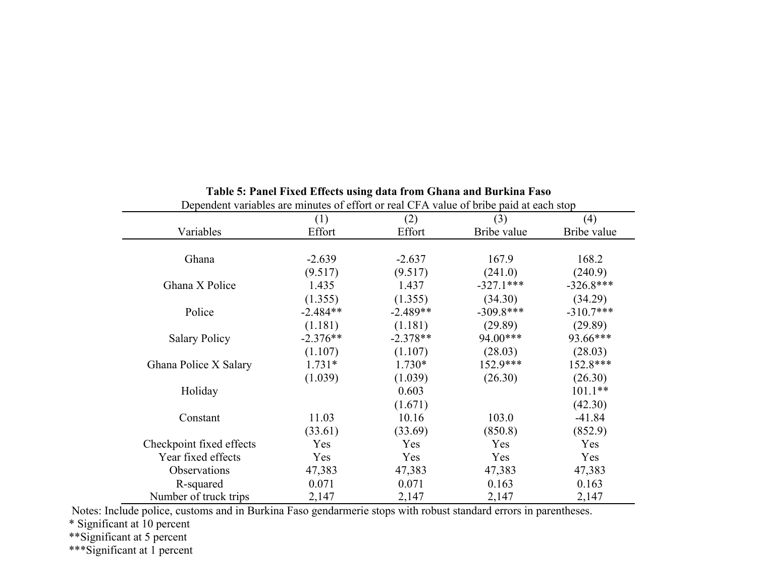| Dependent variables are minutes of effort or real CFA value of bribe paid at each stop |            |            |             |             |
|----------------------------------------------------------------------------------------|------------|------------|-------------|-------------|
|                                                                                        | (1)        | (2)        | (3)         | (4)         |
| Variables                                                                              | Effort     | Effort     | Bribe value | Bribe value |
|                                                                                        |            |            |             |             |
| Ghana                                                                                  | $-2.639$   | $-2.637$   | 167.9       | 168.2       |
|                                                                                        | (9.517)    | (9.517)    | (241.0)     | (240.9)     |
| Ghana X Police                                                                         | 1.435      | 1.437      | $-327.1***$ | $-326.8***$ |
|                                                                                        | (1.355)    | (1.355)    | (34.30)     | (34.29)     |
| Police                                                                                 | $-2.484**$ | $-2.489**$ | $-309.8***$ | $-310.7***$ |
|                                                                                        | (1.181)    | (1.181)    | (29.89)     | (29.89)     |
| <b>Salary Policy</b>                                                                   | $-2.376**$ | $-2.378**$ | 94.00***    | 93.66***    |
|                                                                                        | (1.107)    | (1.107)    | (28.03)     | (28.03)     |
| Ghana Police X Salary                                                                  | $1.731*$   | $1.730*$   | $152.9***$  | 152.8***    |
|                                                                                        | (1.039)    | (1.039)    | (26.30)     | (26.30)     |
| Holiday                                                                                |            | 0.603      |             | $101.1**$   |
|                                                                                        |            | (1.671)    |             | (42.30)     |
| Constant                                                                               | 11.03      | 10.16      | 103.0       | $-41.84$    |
|                                                                                        | (33.61)    | (33.69)    | (850.8)     | (852.9)     |
| Checkpoint fixed effects                                                               | Yes        | Yes        | Yes         | Yes         |
| Year fixed effects                                                                     | Yes        | Yes        | Yes         | Yes         |
| Observations                                                                           | 47,383     | 47,383     | 47,383      | 47,383      |
| R-squared                                                                              | 0.071      | 0.071      | 0.163       | 0.163       |
| Number of truck trips                                                                  | 2,147      | 2,147      | 2,147       | 2,147       |

## **Table 5: Panel Fixed Effects using data from Ghana and Burkina Faso**

Notes: Include police, customs and in Burkina Faso gendarmerie stops with robust standard errors in parentheses.

\* Significant at 10 percent

\*\*Significant at 5 percent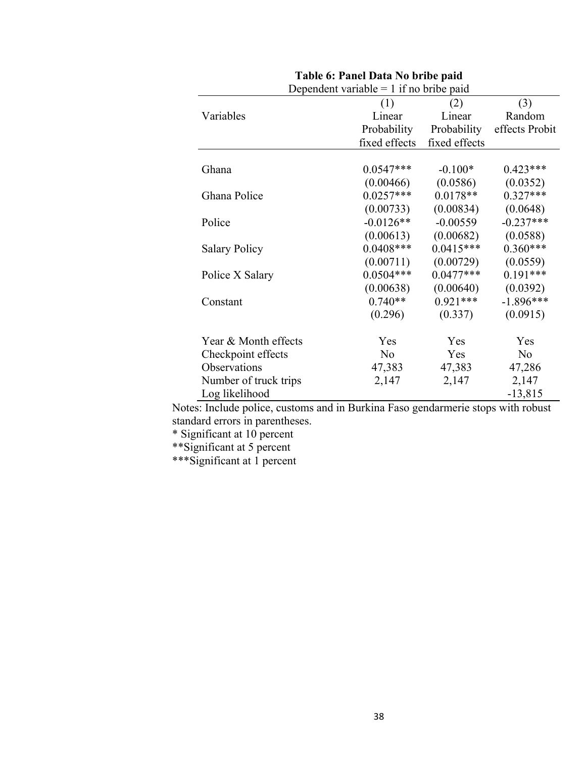| (1)         | (2)                                                   | (3)                                                                                         |
|-------------|-------------------------------------------------------|---------------------------------------------------------------------------------------------|
| Linear      | Linear                                                | Random                                                                                      |
| Probability | Probability                                           | effects Probit                                                                              |
|             | fixed effects                                         |                                                                                             |
|             |                                                       |                                                                                             |
| $0.0547***$ | $-0.100*$                                             | $0.423***$                                                                                  |
| (0.00466)   | (0.0586)                                              | (0.0352)                                                                                    |
| $0.0257***$ | $0.0178**$                                            | $0.327***$                                                                                  |
| (0.00733)   | (0.00834)                                             | (0.0648)                                                                                    |
| $-0.0126**$ | $-0.00559$                                            | $-0.237***$                                                                                 |
| (0.00613)   | (0.00682)                                             | (0.0588)                                                                                    |
| $0.0408***$ | $0.0415***$                                           | $0.360***$                                                                                  |
| (0.00711)   | (0.00729)                                             | (0.0559)                                                                                    |
| $0.0504***$ | $0.0477***$                                           | $0.191***$                                                                                  |
|             | (0.00640)                                             | (0.0392)                                                                                    |
| $0.740**$   | $0.921***$                                            | $-1.896***$                                                                                 |
| (0.296)     | (0.337)                                               | (0.0915)                                                                                    |
|             |                                                       | Yes                                                                                         |
|             |                                                       | N <sub>o</sub>                                                                              |
|             |                                                       | 47,286                                                                                      |
|             |                                                       | 2,147                                                                                       |
|             |                                                       | $-13,815$                                                                                   |
|             | (0.00638)<br>Yes<br>N <sub>o</sub><br>47,383<br>2,147 | Dependent variable $= 1$ if no bribe paid<br>fixed effects<br>Yes<br>Yes<br>47,383<br>2,147 |

| Table 6: Panel Data No bribe paid |  |  |  |
|-----------------------------------|--|--|--|
|-----------------------------------|--|--|--|

Notes: Include police, customs and in Burkina Faso gendarmerie stops with robust standard errors in parentheses.

\* Significant at 10 percent

\*\*Significant at 5 percent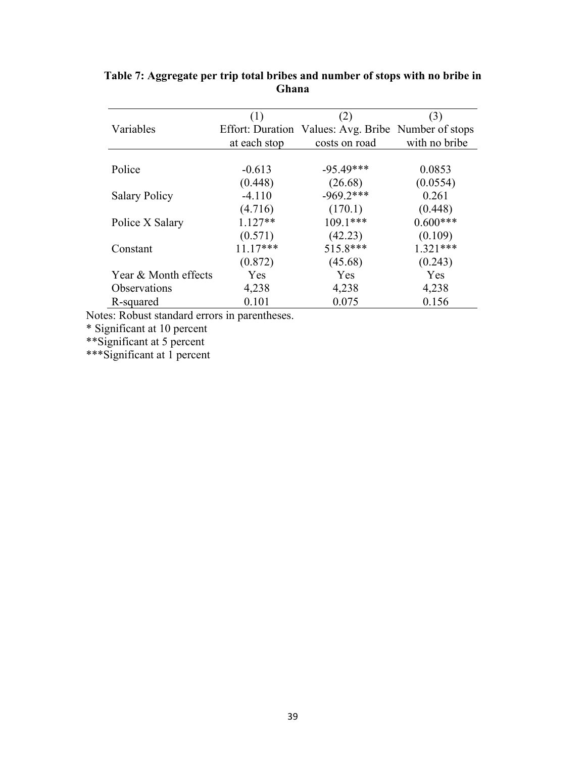|                      | (1)          | (2)                                                 | (3)           |
|----------------------|--------------|-----------------------------------------------------|---------------|
| Variables            |              | Effort: Duration Values: Avg. Bribe Number of stops |               |
|                      | at each stop | costs on road                                       | with no bribe |
|                      |              |                                                     |               |
| Police               | $-0.613$     | $-95.49***$                                         | 0.0853        |
|                      | (0.448)      | (26.68)                                             | (0.0554)      |
| <b>Salary Policy</b> | $-4.110$     | $-969.2***$                                         | 0.261         |
|                      | (4.716)      | (170.1)                                             | (0.448)       |
| Police X Salary      | $1.127**$    | $109.1***$                                          | $0.600***$    |
|                      | (0.571)      | (42.23)                                             | (0.109)       |
| Constant             | $11.17***$   | 515.8***                                            | $1.321***$    |
|                      | (0.872)      | (45.68)                                             | (0.243)       |
| Year & Month effects | Yes          | Yes                                                 | Yes           |
| <b>Observations</b>  | 4,238        | 4,238                                               | 4,238         |
| R-squared            | 0.101        | 0.075                                               | 0.156         |

**Table 7: Aggregate per trip total bribes and number of stops with no bribe in Ghana**

Notes: Robust standard errors in parentheses.

\* Significant at 10 percent

\*\*Significant at 5 percent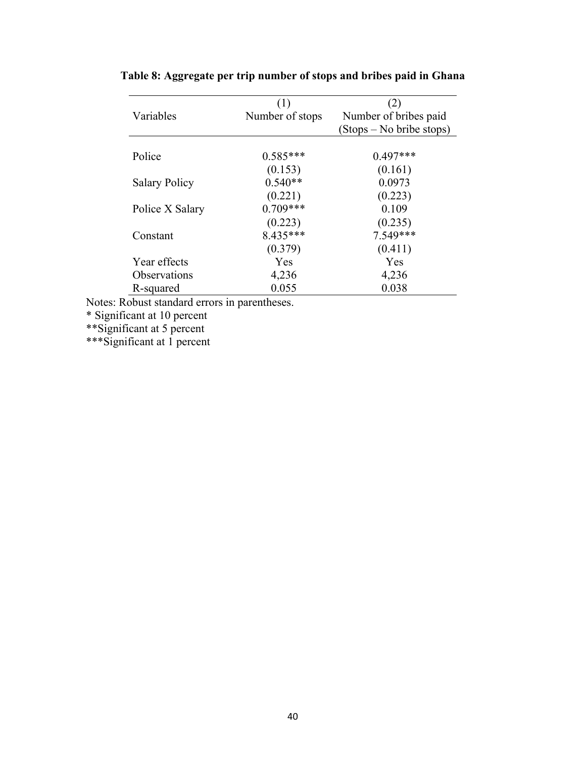|                      | (1)             |                          |
|----------------------|-----------------|--------------------------|
| Variables            | Number of stops | Number of bribes paid    |
|                      |                 | (Stops – No bribe stops) |
| Police               | $0.585***$      | $0.497***$               |
|                      | (0.153)         | (0.161)                  |
| <b>Salary Policy</b> | $0.540**$       | 0.0973                   |
|                      | (0.221)         | (0.223)                  |
| Police X Salary      | $0.709***$      | 0.109                    |
|                      | (0.223)         | (0.235)                  |
| Constant             | 8.435***        | 7.549***                 |
|                      | (0.379)         | (0.411)                  |
| Year effects         | Yes             | Yes                      |
| <b>Observations</b>  | 4,236           | 4,236                    |
| R-squared            | 0.055           | 0.038                    |

**Table 8: Aggregate per trip number of stops and bribes paid in Ghana**

Notes: Robust standard errors in parentheses.

\* Significant at 10 percent

\*\*Significant at 5 percent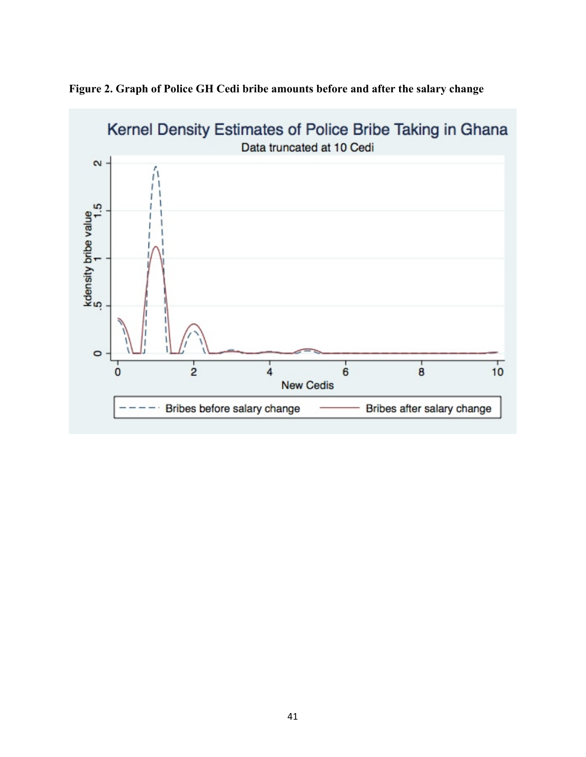

**Figure 2. Graph of Police GH Cedi bribe amounts before and after the salary change**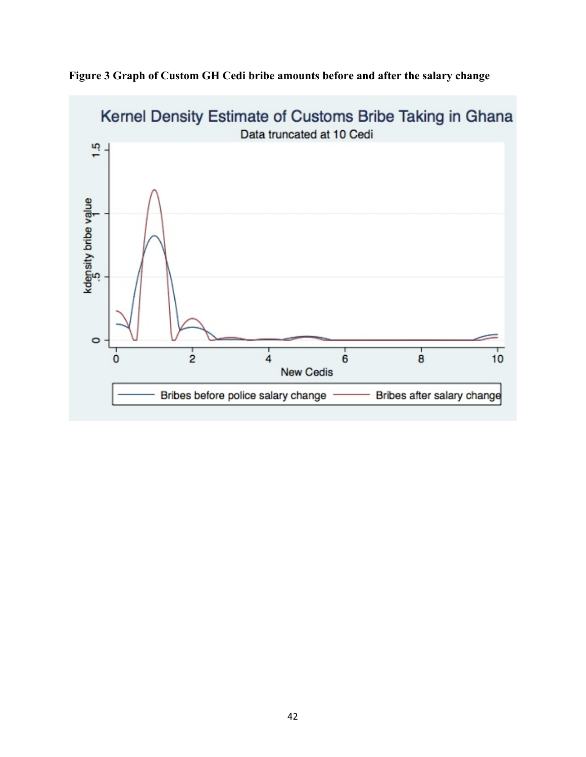

**Figure 3 Graph of Custom GH Cedi bribe amounts before and after the salary change**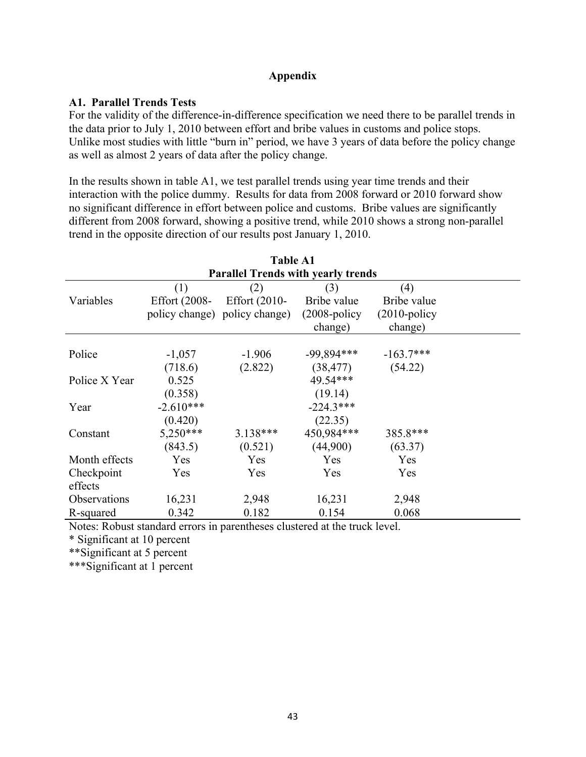## **Appendix**

## **A1. Parallel Trends Tests**

For the validity of the difference-in-difference specification we need there to be parallel trends in the data prior to July 1, 2010 between effort and bribe values in customs and police stops. Unlike most studies with little "burn in" period, we have 3 years of data before the policy change as well as almost 2 years of data after the policy change.

In the results shown in table A1, we test parallel trends using year time trends and their interaction with the police dummy. Results for data from 2008 forward or 2010 forward show no significant difference in effort between police and customs. Bribe values are significantly different from 2008 forward, showing a positive trend, while 2010 shows a strong non-parallel trend in the opposite direction of our results post January 1, 2010.

| <b>Table A1</b> |               |                                           |                 |                 |  |
|-----------------|---------------|-------------------------------------------|-----------------|-----------------|--|
|                 |               | <b>Parallel Trends with yearly trends</b> |                 |                 |  |
|                 | (1)           | (2)                                       | (3)             | (4)             |  |
| Variables       | Effort (2008- | Effort $(2010 -$                          | Bribe value     | Bribe value     |  |
|                 |               | policy change) policy change)             | $(2008-policy)$ | $(2010-policy)$ |  |
|                 |               |                                           | change)         | change)         |  |
|                 |               |                                           |                 |                 |  |
| Police          | $-1,057$      | $-1.906$                                  | $-99,894***$    | $-163.7***$     |  |
|                 | (718.6)       | (2.822)                                   | (38, 477)       | (54.22)         |  |
| Police X Year   | 0.525         |                                           | 49.54***        |                 |  |
|                 | (0.358)       |                                           | (19.14)         |                 |  |
| Year            | $-2.610***$   |                                           | $-224.3***$     |                 |  |
|                 | (0.420)       |                                           | (22.35)         |                 |  |
| Constant        | $5,250***$    | $3.138***$                                | 450,984***      | 385.8***        |  |
|                 | (843.5)       | (0.521)                                   | (44,900)        | (63.37)         |  |
| Month effects   | Yes           | Yes                                       | Yes             | Yes             |  |
| Checkpoint      | Yes           | Yes                                       | Yes             | Yes             |  |
| effects         |               |                                           |                 |                 |  |
| Observations    | 16,231        | 2,948                                     | 16,231          | 2,948           |  |
| R-squared       | 0.342         | 0.182                                     | 0.154           | 0.068           |  |

Notes: Robust standard errors in parentheses clustered at the truck level.

\* Significant at 10 percent

\*\*Significant at 5 percent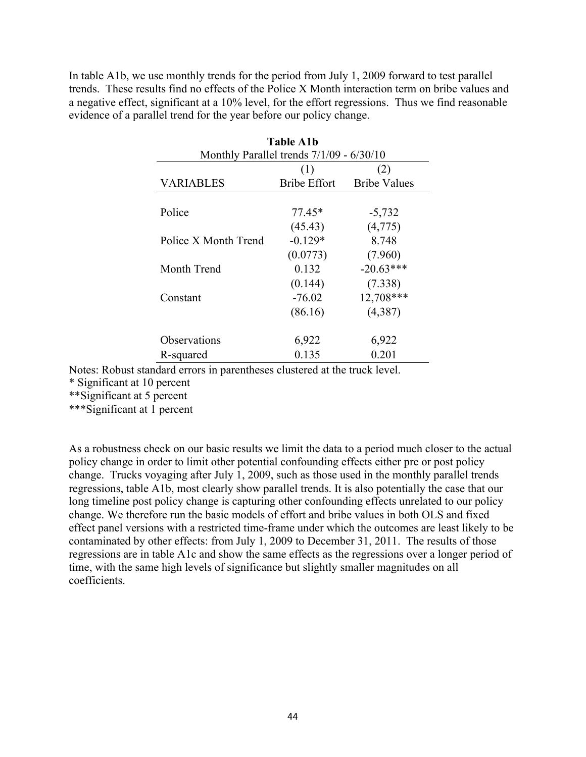In table A1b, we use monthly trends for the period from July 1, 2009 forward to test parallel trends. These results find no effects of the Police X Month interaction term on bribe values and a negative effect, significant at a 10% level, for the effort regressions. Thus we find reasonable evidence of a parallel trend for the year before our policy change.

| <b>Table A1b</b>     |                                            |                     |  |
|----------------------|--------------------------------------------|---------------------|--|
|                      | Monthly Parallel trends $7/1/09 - 6/30/10$ |                     |  |
|                      | (1)                                        | (2)                 |  |
| <b>VARIABLES</b>     | <b>Bribe Effort</b>                        | <b>Bribe Values</b> |  |
|                      |                                            |                     |  |
| Police               | 77.45*                                     | $-5,732$            |  |
|                      | (45.43)                                    | (4,775)             |  |
| Police X Month Trend | $-0.129*$                                  | 8.748               |  |
|                      | (0.0773)                                   | (7.960)             |  |
| Month Trend          | 0.132                                      | $-20.63***$         |  |
|                      | (0.144)                                    | (7.338)             |  |
| Constant             | $-76.02$                                   | 12,708***           |  |
|                      | (86.16)                                    | (4,387)             |  |
| Observations         | 6,922                                      | 6,922               |  |
| R-squared            | 0.135                                      | 0.201               |  |

Notes: Robust standard errors in parentheses clustered at the truck level.

\* Significant at 10 percent

\*\*Significant at 5 percent

\*\*\*Significant at 1 percent

As a robustness check on our basic results we limit the data to a period much closer to the actual policy change in order to limit other potential confounding effects either pre or post policy change. Trucks voyaging after July 1, 2009, such as those used in the monthly parallel trends regressions, table A1b, most clearly show parallel trends. It is also potentially the case that our long timeline post policy change is capturing other confounding effects unrelated to our policy change. We therefore run the basic models of effort and bribe values in both OLS and fixed effect panel versions with a restricted time-frame under which the outcomes are least likely to be contaminated by other effects: from July 1, 2009 to December 31, 2011. The results of those regressions are in table A1c and show the same effects as the regressions over a longer period of time, with the same high levels of significance but slightly smaller magnitudes on all coefficients.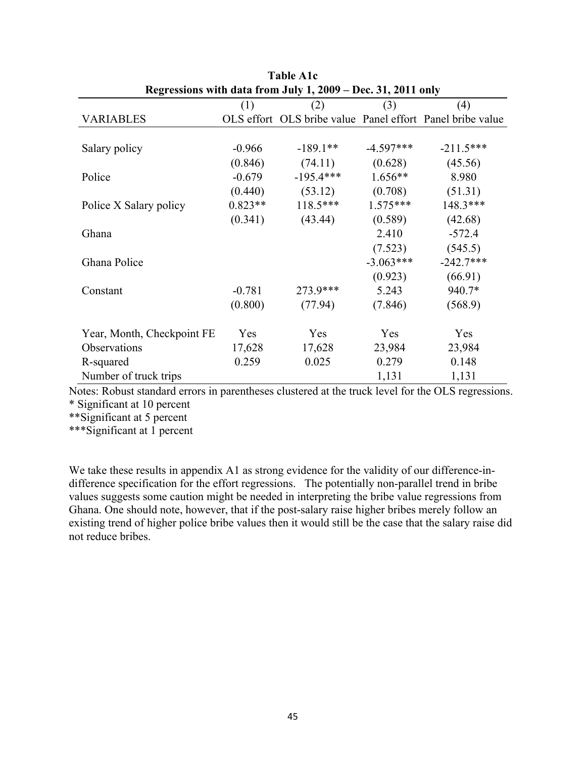| Regressions with data from July 1, 2009 – Dec. 31, 2011 only |           |             |             |                                                           |  |  |
|--------------------------------------------------------------|-----------|-------------|-------------|-----------------------------------------------------------|--|--|
|                                                              | (1)       | (2)         | (3)         | (4)                                                       |  |  |
| <b>VARIABLES</b>                                             |           |             |             | OLS effort OLS bribe value Panel effort Panel bribe value |  |  |
|                                                              |           |             |             |                                                           |  |  |
| Salary policy                                                | $-0.966$  | $-189.1**$  | $-4.597***$ | $-211.5***$                                               |  |  |
|                                                              | (0.846)   | (74.11)     | (0.628)     | (45.56)                                                   |  |  |
| Police                                                       | $-0.679$  | $-195.4***$ | $1.656**$   | 8.980                                                     |  |  |
|                                                              | (0.440)   | (53.12)     | (0.708)     | (51.31)                                                   |  |  |
| Police X Salary policy                                       | $0.823**$ | $118.5***$  | $1.575***$  | 148.3***                                                  |  |  |
|                                                              | (0.341)   | (43.44)     | (0.589)     | (42.68)                                                   |  |  |
| Ghana                                                        |           |             | 2.410       | $-572.4$                                                  |  |  |
|                                                              |           |             | (7.523)     | (545.5)                                                   |  |  |
| Ghana Police                                                 |           |             | $-3.063***$ | $-242.7***$                                               |  |  |
|                                                              |           |             | (0.923)     | (66.91)                                                   |  |  |
| Constant                                                     | $-0.781$  | 273.9***    | 5.243       | 940.7*                                                    |  |  |
|                                                              | (0.800)   | (77.94)     | (7.846)     | (568.9)                                                   |  |  |
|                                                              |           |             |             |                                                           |  |  |
| Year, Month, Checkpoint FE                                   | Yes       | Yes         | Yes         | Yes                                                       |  |  |
| Observations                                                 | 17,628    | 17,628      | 23,984      | 23,984                                                    |  |  |
| R-squared                                                    | 0.259     | 0.025       | 0.279       | 0.148                                                     |  |  |
| Number of truck trips                                        |           |             | 1,131       | 1,131                                                     |  |  |

**Table A1c**

Notes: Robust standard errors in parentheses clustered at the truck level for the OLS regressions. \* Significant at 10 percent

\*\*Significant at 5 percent

\*\*\*Significant at 1 percent

We take these results in appendix A1 as strong evidence for the validity of our difference-indifference specification for the effort regressions. The potentially non-parallel trend in bribe values suggests some caution might be needed in interpreting the bribe value regressions from Ghana. One should note, however, that if the post-salary raise higher bribes merely follow an existing trend of higher police bribe values then it would still be the case that the salary raise did not reduce bribes.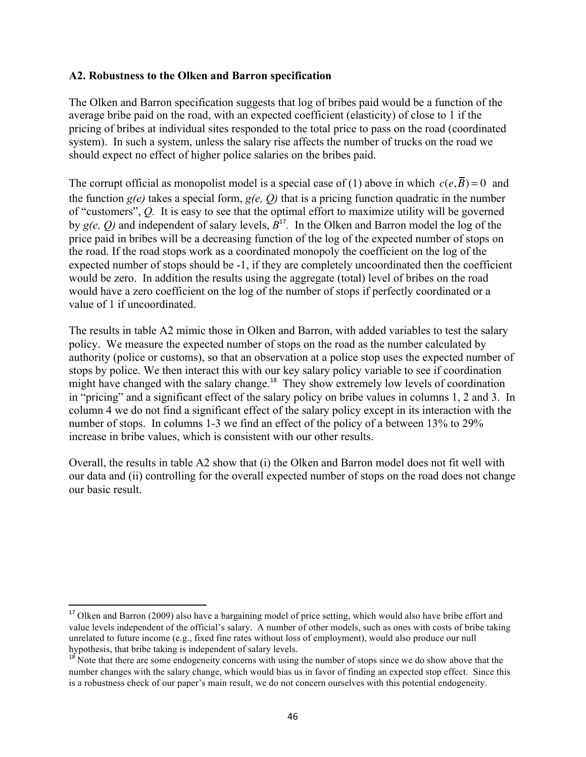### **A2. Robustness to the Olken and Barron specification**

The Olken and Barron specification suggests that log of bribes paid would be a function of the average bribe paid on the road, with an expected coefficient (elasticity) of close to 1 if the pricing of bribes at individual sites responded to the total price to pass on the road (coordinated system). In such a system, unless the salary rise affects the number of trucks on the road we should expect no effect of higher police salaries on the bribes paid.

The corrupt official as monopolist model is a special case of (1) above in which  $c(e, \overline{B}) = 0$  and the function *g(e)* takes a special form, *g(e, Q)* that is a pricing function quadratic in the number of "customers", *Q.* It is easy to see that the optimal effort to maximize utility will be governed by *g(e, Q)* and independent of salary levels, *B*<sup>17</sup>*.* In the Olken and Barron model the log of the price paid in bribes will be a decreasing function of the log of the expected number of stops on the road. If the road stops work as a coordinated monopoly the coefficient on the log of the expected number of stops should be -1, if they are completely uncoordinated then the coefficient would be zero. In addition the results using the aggregate (total) level of bribes on the road would have a zero coefficient on the log of the number of stops if perfectly coordinated or a value of 1 if uncoordinated.

The results in table A2 mimic those in Olken and Barron, with added variables to test the salary policy. We measure the expected number of stops on the road as the number calculated by authority (police or customs), so that an observation at a police stop uses the expected number of stops by police. We then interact this with our key salary policy variable to see if coordination might have changed with the salary change.<sup>18</sup> They show extremely low levels of coordination in "pricing" and a significant effect of the salary policy on bribe values in columns 1, 2 and 3. In column 4 we do not find a significant effect of the salary policy except in its interaction with the number of stops. In columns 1-3 we find an effect of the policy of a between 13% to 29% increase in bribe values, which is consistent with our other results.

Overall, the results in table A2 show that (i) the Olken and Barron model does not fit well with our data and (ii) controlling for the overall expected number of stops on the road does not change our basic result.

<u> 1989 - Johann Stein, fransk politik (d. 1989)</u>

<sup>&</sup>lt;sup>17</sup> Olken and Barron (2009) also have a bargaining model of price setting, which would also have bribe effort and value levels independent of the official's salary. A number of other models, such as ones with costs of bribe taking unrelated to future income (e.g., fixed fine rates without loss of employment), would also produce our null hypothesis, that bribe taking is independent of salary levels.

<sup>&</sup>lt;sup>18</sup> Note that there are some endogeneity concerns with using the number of stops since we do show above that the number changes with the salary change, which would bias us in favor of finding an expected stop effect. Since this is a robustness check of our paper's main result, we do not concern ourselves with this potential endogeneity.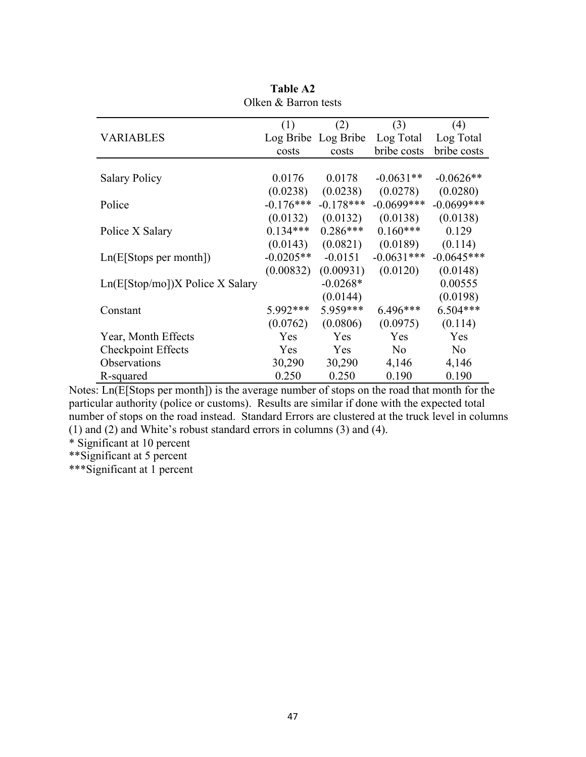|                                    | (1)         | (2)                 | (3)            | (4)            |
|------------------------------------|-------------|---------------------|----------------|----------------|
| <b>VARIABLES</b>                   |             | Log Bribe Log Bribe | Log Total      | Log Total      |
|                                    | costs       | costs               | bribe costs    | bribe costs    |
|                                    |             |                     |                |                |
| <b>Salary Policy</b>               | 0.0176      | 0.0178              | $-0.0631**$    | $-0.0626**$    |
|                                    | (0.0238)    | (0.0238)            | (0.0278)       | (0.0280)       |
| Police                             | $-0.176***$ | $-0.178***$         | $-0.0699$ ***  | $-0.0699$ ***  |
|                                    | (0.0132)    | (0.0132)            | (0.0138)       | (0.0138)       |
| Police X Salary                    | $0.134***$  | $0.286***$          | $0.160***$     | 0.129          |
|                                    | (0.0143)    | (0.0821)            | (0.0189)       | (0.114)        |
| Ln(E[Stops per month])             | $-0.0205**$ | $-0.0151$           | $-0.0631***$   | $-0.0645***$   |
|                                    | (0.00832)   | (0.00931)           | (0.0120)       | (0.0148)       |
| $Ln(E[Stop/mol])X$ Police X Salary |             | $-0.0268*$          |                | 0.00555        |
|                                    |             | (0.0144)            |                | (0.0198)       |
| Constant                           | 5.992***    | 5.959***            | 6.496***       | $6.504***$     |
|                                    | (0.0762)    | (0.0806)            | (0.0975)       | (0.114)        |
| Year, Month Effects                | Yes         | Yes                 | Yes            | Yes            |
| <b>Checkpoint Effects</b>          | <b>Yes</b>  | Yes                 | N <sub>0</sub> | N <sub>0</sub> |
| Observations                       | 30,290      | 30,290              | 4,146          | 4,146          |
| R-squared                          | 0.250       | 0.250               | 0.190          | 0.190          |

**Table A2** Olken & Barron tests

Notes: Ln(E[Stops per month]) is the average number of stops on the road that month for the particular authority (police or customs). Results are similar if done with the expected total number of stops on the road instead. Standard Errors are clustered at the truck level in columns (1) and (2) and White's robust standard errors in columns (3) and (4).

\* Significant at 10 percent

\*\*Significant at 5 percent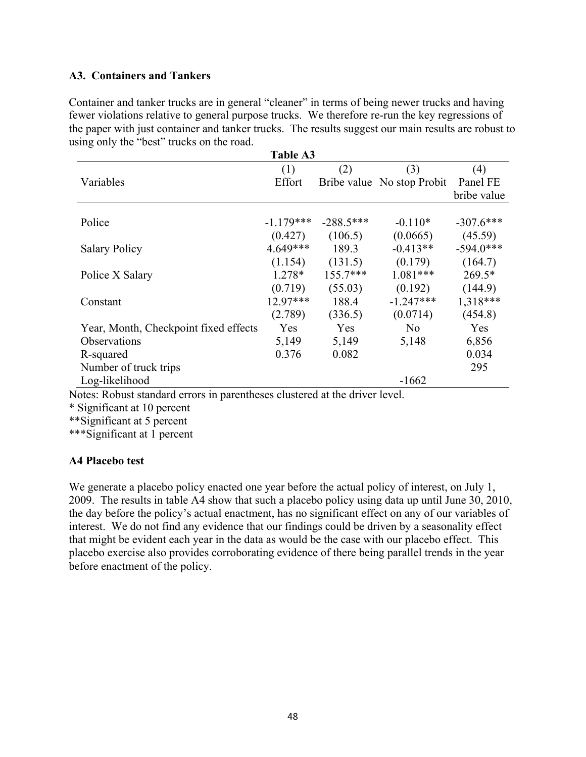## **A3. Containers and Tankers**

Container and tanker trucks are in general "cleaner" in terms of being newer trucks and having fewer violations relative to general purpose trucks. We therefore re-run the key regressions of the paper with just container and tanker trucks. The results suggest our main results are robust to using only the "best" trucks on the road.

| <b>Table A3</b>                       |             |             |                            |             |  |  |
|---------------------------------------|-------------|-------------|----------------------------|-------------|--|--|
|                                       | (1)         | (2)         | (3)                        | (4)         |  |  |
| Variables                             | Effort      |             | Bribe value No stop Probit | Panel FE    |  |  |
|                                       |             |             |                            | bribe value |  |  |
|                                       |             |             |                            |             |  |  |
| Police                                | $-1.179***$ | $-288.5***$ | $-0.110*$                  | $-307.6***$ |  |  |
|                                       | (0.427)     | (106.5)     | (0.0665)                   | (45.59)     |  |  |
| <b>Salary Policy</b>                  | $4.649***$  | 189.3       | $-0.413**$                 | $-594.0***$ |  |  |
|                                       | (1.154)     | (131.5)     | (0.179)                    | (164.7)     |  |  |
| Police X Salary                       | 1.278*      | $155.7***$  | $1.081***$                 | $269.5*$    |  |  |
|                                       | (0.719)     | (55.03)     | (0.192)                    | (144.9)     |  |  |
| Constant                              | $12.97***$  | 188.4       | $-1.247***$                | $1,318***$  |  |  |
|                                       | (2.789)     | (336.5)     | (0.0714)                   | (454.8)     |  |  |
| Year, Month, Checkpoint fixed effects | Yes         | Yes         | N <sub>0</sub>             | Yes         |  |  |
| Observations                          | 5,149       | 5,149       | 5,148                      | 6,856       |  |  |
| R-squared                             | 0.376       | 0.082       |                            | 0.034       |  |  |
| Number of truck trips                 |             |             |                            | 295         |  |  |
| Log-likelihood                        |             |             | $-1662$                    |             |  |  |

Notes: Robust standard errors in parentheses clustered at the driver level.

\* Significant at 10 percent

\*\*Significant at 5 percent

\*\*\*Significant at 1 percent

### **A4 Placebo test**

We generate a placebo policy enacted one year before the actual policy of interest, on July 1, 2009. The results in table A4 show that such a placebo policy using data up until June 30, 2010, the day before the policy's actual enactment, has no significant effect on any of our variables of interest. We do not find any evidence that our findings could be driven by a seasonality effect that might be evident each year in the data as would be the case with our placebo effect. This placebo exercise also provides corroborating evidence of there being parallel trends in the year before enactment of the policy.